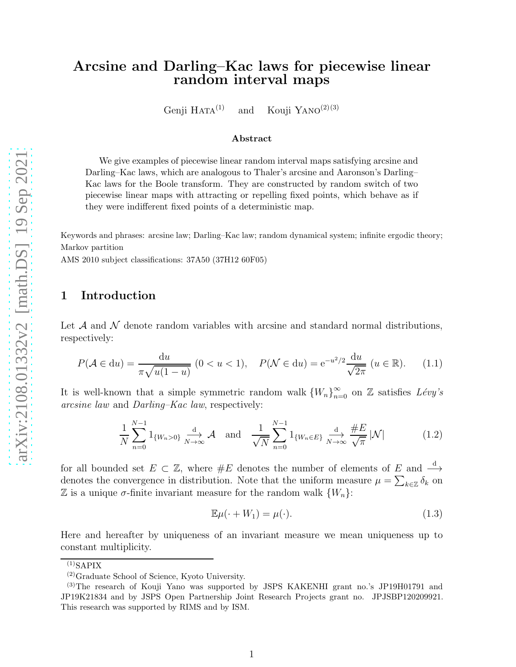# Arcsine and Darling–Kac laws for piecewise linear random interval maps

Genji Hata $^{(1)}$  and Kouji Yano $^{(2)(3)}$ 

#### Abstract

We give examples of piecewise linear random interval maps satisfying arcsine and Darling–Kac laws, which are analogous to Thaler's arcsine and Aaronson's Darling– Kac laws for the Boole transform. They are constructed by random switch of two piecewise linear maps with attracting or repelling fixed points, which behave as if they were indifferent fixed points of a deterministic map.

Keywords and phrases: arcsine law; Darling–Kac law; random dynamical system; infinite ergodic theory; Markov partition

AMS 2010 subject classifications: 37A50 (37H12 60F05)

## 1 Introduction

Let  $\mathcal A$  and  $\mathcal N$  denote random variables with arcsine and standard normal distributions, respectively:

$$
P(\mathcal{A} \in du) = \frac{du}{\pi \sqrt{u(1-u)}} (0 < u < 1), \quad P(\mathcal{N} \in du) = e^{-u^2/2} \frac{du}{\sqrt{2\pi}} (u \in \mathbb{R}). \tag{1.1}
$$

It is well-known that a simple symmetric random walk  $\{W_n\}_{n=0}^{\infty}$  on Z satisfies  $Lévy's$ arcsine law and Darling–Kac law, respectively:

$$
\frac{1}{N} \sum_{n=0}^{N-1} 1_{\{W_n > 0\}} \xrightarrow[N \to \infty]{\text{d}} \mathcal{A} \quad \text{and} \quad \frac{1}{\sqrt{N}} \sum_{n=0}^{N-1} 1_{\{W_n \in E\}} \xrightarrow[N \to \infty]{\text{d}} \frac{\#E}{\sqrt{\pi}} |\mathcal{N}| \tag{1.2}
$$

for all bounded set  $E \subset \mathbb{Z}$ , where  $\#E$  denotes the number of elements of  $E$  and  $\stackrel{d}{\longrightarrow}$ denotes the convergence in distribution. Note that the uniform measure  $\mu = \sum_{k \in \mathbb{Z}} \delta_k$  on  $\mathbb Z$  is a unique  $\sigma$ -finite invariant measure for the random walk  $\{W_n\}$ :

$$
\mathbb{E}\mu(\cdot + W_1) = \mu(\cdot). \tag{1.3}
$$

Here and hereafter by uniqueness of an invariant measure we mean uniqueness up to constant multiplicity.

 $^{(1)}$ SAPIX

<sup>(2)</sup>Graduate School of Science, Kyoto University.

<sup>(3)</sup>The research of Kouji Yano was supported by JSPS KAKENHI grant no.'s JP19H01791 and JP19K21834 and by JSPS Open Partnership Joint Research Projects grant no. JPJSBP120209921. This research was supported by RIMS and by ISM.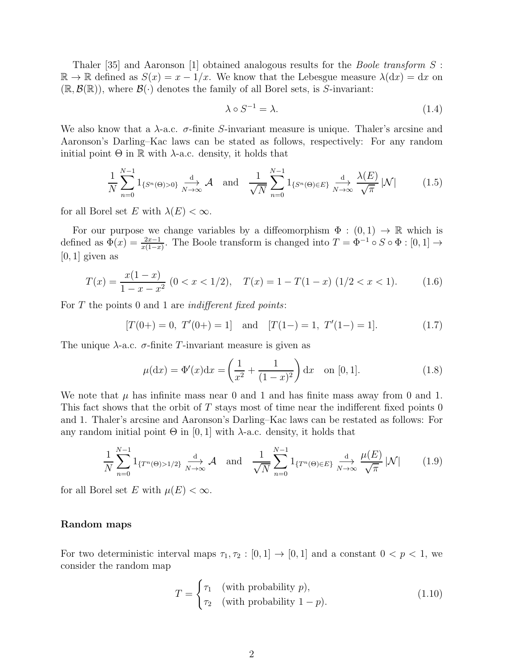Thaler [35] and Aaronson [1] obtained analogous results for the *Boole transform*  $S$ :  $\mathbb{R} \to \mathbb{R}$  defined as  $S(x) = x - 1/x$ . We know that the Lebesgue measure  $\lambda(dx) = dx$  on  $(\mathbb{R}, \mathcal{B}(\mathbb{R}))$ , where  $\mathcal{B}(\cdot)$  denotes the family of all Borel sets, is S-invariant:

$$
\lambda \circ S^{-1} = \lambda. \tag{1.4}
$$

We also know that a  $\lambda$ -a.c.  $\sigma$ -finite S-invariant measure is unique. Thaler's arcsine and Aaronson's Darling–Kac laws can be stated as follows, respectively: For any random initial point  $\Theta$  in  $\mathbb R$  with  $\lambda$ -a.c. density, it holds that

$$
\frac{1}{N} \sum_{n=0}^{N-1} 1_{\{S^n(\Theta) > 0\}} \xrightarrow[N \to \infty]{\text{d}} \mathcal{A} \quad \text{and} \quad \frac{1}{\sqrt{N}} \sum_{n=0}^{N-1} 1_{\{S^n(\Theta) \in E\}} \xrightarrow[N \to \infty]{\text{d}} \frac{\lambda(E)}{\sqrt{\pi}} |\mathcal{N}| \tag{1.5}
$$

for all Borel set E with  $\lambda(E) < \infty$ .

For our purpose we change variables by a diffeomorphism  $\Phi : (0,1) \to \mathbb{R}$  which is defined as  $\Phi(x) = \frac{2x-1}{x(1-x)}$ . The Boole transform is changed into  $T = \Phi^{-1} \circ S \circ \Phi : [0,1] \to$  $[0, 1]$  given as

$$
T(x) = \frac{x(1-x)}{1-x-x^2} \ (0 < x < 1/2), \quad T(x) = 1 - T(1-x) \ (1/2 < x < 1). \tag{1.6}
$$

For  $T$  the points 0 and 1 are *indifferent fixed points*:

$$
[T(0+)=0, T'(0+)=1]
$$
 and  $[T(1-)=1, T'(1-)=1].$  (1.7)

The unique  $\lambda$ -a.c.  $\sigma$ -finite T-invariant measure is given as

$$
\mu(\mathrm{d}x) = \Phi'(x)\mathrm{d}x = \left(\frac{1}{x^2} + \frac{1}{(1-x)^2}\right)\mathrm{d}x \quad \text{on } [0,1].\tag{1.8}
$$

We note that  $\mu$  has infinite mass near 0 and 1 and has finite mass away from 0 and 1. This fact shows that the orbit of  $T$  stays most of time near the indifferent fixed points 0 and 1. Thaler's arcsine and Aaronson's Darling–Kac laws can be restated as follows: For any random initial point  $Θ$  in  $[0, 1]$  with  $λ$ -a.c. density, it holds that

$$
\frac{1}{N} \sum_{n=0}^{N-1} 1_{\{T^n(\Theta) > 1/2\}} \xrightarrow[N \to \infty]{\text{d}} \mathcal{A} \quad \text{and} \quad \frac{1}{\sqrt{N}} \sum_{n=0}^{N-1} 1_{\{T^n(\Theta) \in E\}} \xrightarrow[N \to \infty]{\text{d}} \frac{\mu(E)}{\sqrt{\pi}} |\mathcal{N}| \tag{1.9}
$$

for all Borel set E with  $\mu(E) < \infty$ .

#### Random maps

For two deterministic interval maps  $\tau_1, \tau_2 : [0, 1] \to [0, 1]$  and a constant  $0 < p < 1$ , we consider the random map

$$
T = \begin{cases} \tau_1 & \text{(with probability } p), \\ \tau_2 & \text{(with probability } 1 - p). \end{cases}
$$
 (1.10)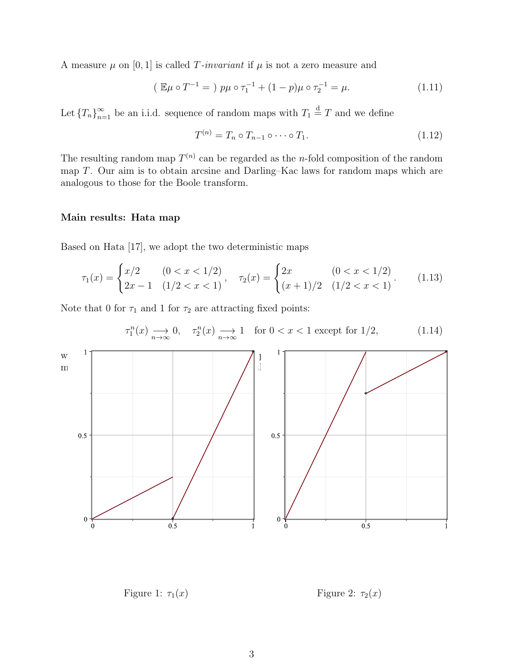A measure  $\mu$  on [0, 1] is called T-invariant if  $\mu$  is not a zero measure and

$$
(\mathbb{E}\mu \circ T^{-1} = ) p\mu \circ \tau_1^{-1} + (1-p)\mu \circ \tau_2^{-1} = \mu. \tag{1.11}
$$

Let  $\{T_n\}_{n=1}^{\infty}$  be an i.i.d. sequence of random maps with  $T_1 \stackrel{d}{=} T$  and we define

$$
T^{(n)} = T_n \circ T_{n-1} \circ \cdots \circ T_1. \tag{1.12}
$$

The resulting random map  $T^{(n)}$  can be regarded as the *n*-fold composition of the random map T. Our aim is to obtain arcsine and Darling–Kac laws for random maps which are analogous to those for the Boole transform.

### Main results: Hata map

Based on Hata [17], we adopt the two deterministic maps

$$
\tau_1(x) = \begin{cases} x/2 & (0 < x < 1/2) \\ 2x - 1 & (1/2 < x < 1) \end{cases}, \quad \tau_2(x) = \begin{cases} 2x & (0 < x < 1/2) \\ (x + 1)/2 & (1/2 < x < 1) \end{cases}.\tag{1.13}
$$

Note that 0 for  $\tau_1$  and 1 for  $\tau_2$  are attracting fixed points:

$$
\pi_{1}(x) \xrightarrow{\pi_{1}(x)} 0, \quad \pi_{2}(x) \xrightarrow{\pi_{2}(x)} 1 \quad \text{for } 0 < x < 1 \text{ except for } 1/2,
$$
\n(1.14)

\nor (1.14)

\nor (1.14)

\nor (1.15)

\nor (1.16)

\nor (1.17)

\nor (1.18)

\nor (1.19)

\nor (1.14)

\nor (1.15)

\nor (1.16)

\nor (1.19)

\nor (1.19)

\nor (1.10)

\nor (1.114)

\nor (1.14)

\nor (1.15)

\nor (1.16)

\nor (1.19)

\nor (1.114)

\nor (1.19)

\nor (1.115)

\nor (1.19)

\nor (1.116)

\nor (1.19)

\nor (1.119)

\nor (1.114)

\nor (1.19)

\nor (1.116)

\nor (1.19)

\nor (1.119)

\nor (1.114)

\nor (1.116)

\nor (1.19)

\nor (1.119)

\nor (1.119)

\nor (1.110)

\nor (1.114)

\nor (1.116)

\nor (1.119)

\nor (1.119)

\nor (1.114)

\nor (1.119)

\nor (1.119)

\nor (1.119)

\nor (1.119)

\nor (1.114)

\nor (1.119)

\nor (1.119)

\nor (1.119)

\nor (1.119)

\nor (1.119)

\nor (1.119)

\nor (1.119)

\nor (1.119)

$$
\tau_1^n(x) \underset{n \to \infty}{\longrightarrow} 0, \quad \tau_2^n(x) \underset{n \to \infty}{\longrightarrow} 1 \quad \text{for } 0 < x < 1 \text{ except for } 1/2,\tag{1.14}
$$

Figure 1:  $\tau_1(x)$  Figure 2:  $\tau_2(x)$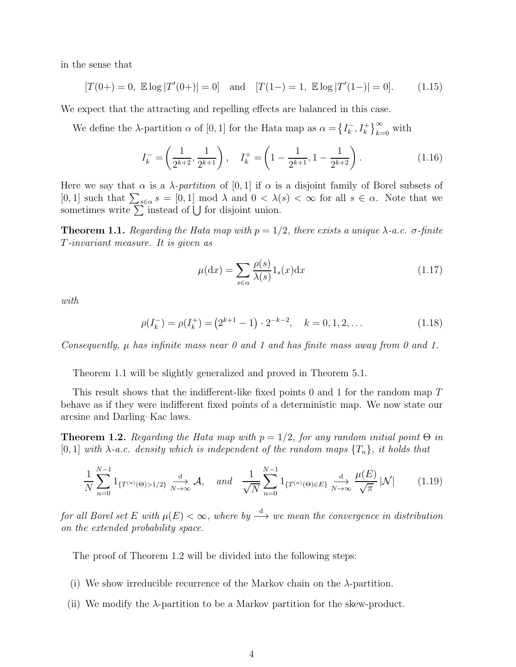in the sense that

$$
[T(0+)=0, \mathbb{E}\log |T'(0+)|=0] \text{ and } [T(1-)=1, \mathbb{E}\log |T'(1-)|=0]. \tag{1.15}
$$

We expect that the attracting and repelling effects are balanced in this case.

We define the  $\lambda$ -partition  $\alpha$  of [0, 1] for the Hata map as  $\alpha = \left\{I_{k}^{-1}\right\}$  $\left\{\frac{k}{k}, I_k^+\right\}_{k=0}^\infty$  with

$$
I_k^- = \left(\frac{1}{2^{k+2}}, \frac{1}{2^{k+1}}\right), \quad I_k^+ = \left(1 - \frac{1}{2^{k+1}}, 1 - \frac{1}{2^{k+2}}\right). \tag{1.16}
$$

Here we say that  $\alpha$  is a  $\lambda$ -partition of [0, 1] if  $\alpha$  is a disjoint family of Borel subsets of [0, 1] such that  $\sum_{s\in\alpha} s = [0,1] \mod \lambda$  and  $0 < \lambda(s) < \infty$  for all  $s \in \alpha$ . Note that we sometimes write  $\sum_{n=1}^{\infty}$  instead of  $\bigcup$  for disjoint union.

**Theorem 1.1.** Regarding the Hata map with  $p = 1/2$ , there exists a unique  $\lambda$ -a.c.  $\sigma$ -finite T-invariant measure. It is given as

$$
\mu(\mathrm{d}x) = \sum_{s \in \alpha} \frac{\rho(s)}{\lambda(s)} 1_s(x) \mathrm{d}x \tag{1.17}
$$

with

$$
\rho(I_k^-) = \rho(I_k^+) = (2^{k+1} - 1) \cdot 2^{-k-2}, \quad k = 0, 1, 2, \dots
$$
\n(1.18)

Consequently,  $\mu$  has infinite mass near 0 and 1 and has finite mass away from 0 and 1.

Theorem 1.1 will be slightly generalized and proved in Theorem 5.1.

This result shows that the indifferent-like fixed points 0 and 1 for the random map T behave as if they were indifferent fixed points of a deterministic map. We now state our arcsine and Darling–Kac laws.

**Theorem 1.2.** Regarding the Hata map with  $p = 1/2$ , for any random initial point  $\Theta$  in [0, 1] with  $\lambda$ -a.c. density which is independent of the random maps  $\{T_n\}$ , it holds that

$$
\frac{1}{N} \sum_{n=0}^{N-1} 1_{\{T^{(n)}(\Theta) > 1/2\}} \xrightarrow[N \to \infty]{\text{d}} \mathcal{A}, \quad \text{and} \quad \frac{1}{\sqrt{N}} \sum_{n=0}^{N-1} 1_{\{T^{(n)}(\Theta) \in E\}} \xrightarrow[N \to \infty]{\text{d}} \frac{\mu(E)}{\sqrt{\pi}} |\mathcal{N}| \tag{1.19}
$$

for all Borel set E with  $\mu(E) < \infty$ , where by  $\stackrel{d}{\longrightarrow}$  we mean the convergence in distribution on the extended probability space.

The proof of Theorem 1.2 will be divided into the following steps:

- (i) We show irreducible recurrence of the Markov chain on the  $\lambda$ -partition.
- (ii) We modify the  $\lambda$ -partition to be a Markov partition for the skew-product.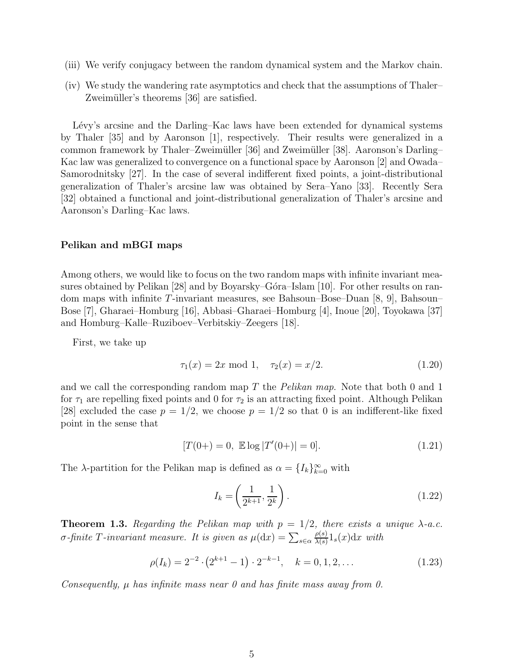- (iii) We verify conjugacy between the random dynamical system and the Markov chain.
- (iv) We study the wandering rate asymptotics and check that the assumptions of Thaler– Zweimüller's theorems [36] are satisfied.

Lévy's arcsine and the Darling–Kac laws have been extended for dynamical systems by Thaler [35] and by Aaronson [1], respectively. Their results were generalized in a common framework by Thaler–Zweimüller [36] and Zweimüller [38]. Aaronson's Darling– Kac law was generalized to convergence on a functional space by Aaronson [2] and Owada– Samorodnitsky [27]. In the case of several indifferent fixed points, a joint-distributional generalization of Thaler's arcsine law was obtained by Sera–Yano [33]. Recently Sera [32] obtained a functional and joint-distributional generalization of Thaler's arcsine and Aaronson's Darling–Kac laws.

#### Pelikan and mBGI maps

Among others, we would like to focus on the two random maps with infinite invariant measures obtained by Pelikan [28] and by Boyarsky–Góra–Islam [10]. For other results on random maps with infinite T-invariant measures, see Bahsoun–Bose–Duan [8, 9], Bahsoun– Bose [7], Gharaei–Homburg [16], Abbasi–Gharaei–Homburg [4], Inoue [20], Toyokawa [37] and Homburg–Kalle–Ruziboev–Verbitskiy–Zeegers [18].

First, we take up

$$
\tau_1(x) = 2x \mod 1, \quad \tau_2(x) = x/2. \tag{1.20}
$$

and we call the corresponding random map  $T$  the Pelikan map. Note that both 0 and 1 for  $\tau_1$  are repelling fixed points and 0 for  $\tau_2$  is an attracting fixed point. Although Pelikan [28] excluded the case  $p = 1/2$ , we choose  $p = 1/2$  so that 0 is an indifferent-like fixed point in the sense that

$$
[T(0+)=0, \mathbb{E}\log |T'(0+)|=0]. \qquad (1.21)
$$

The  $\lambda$ -partition for the Pelikan map is defined as  $\alpha = \{I_k\}_{k=0}^{\infty}$  with

$$
I_k = \left(\frac{1}{2^{k+1}}, \frac{1}{2^k}\right). \tag{1.22}
$$

**Theorem 1.3.** Regarding the Pelikan map with  $p = 1/2$ , there exists a unique  $\lambda$ -a.c. *σ*-finite T-invariant measure. It is given as  $\mu(dx) = \sum_{s \in \alpha}$  $\rho(s)$  $\frac{\rho(s)}{\lambda(s)}1_s(x)dx$  with

$$
\rho(I_k) = 2^{-2} \cdot (2^{k+1} - 1) \cdot 2^{-k-1}, \quad k = 0, 1, 2, \dots
$$
\n(1.23)

Consequently,  $\mu$  has infinite mass near 0 and has finite mass away from 0.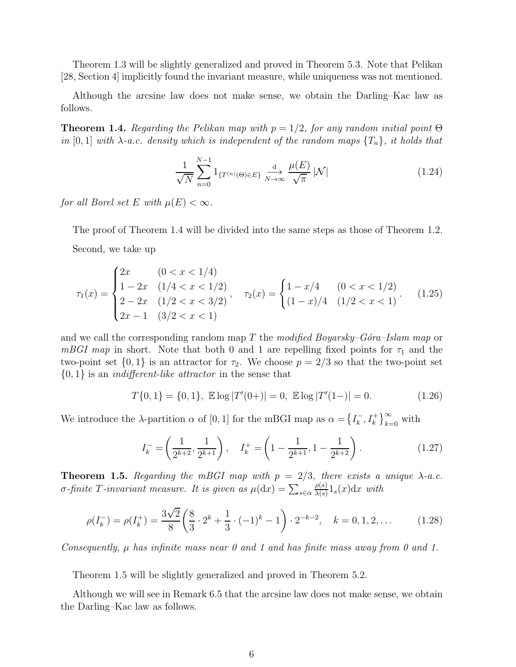Theorem 1.3 will be slightly generalized and proved in Theorem 5.3. Note that Pelikan [28, Section 4] implicitly found the invariant measure, while uniqueness was not mentioned.

Although the arcsine law does not make sense, we obtain the Darling–Kac law as follows.

**Theorem 1.4.** Regarding the Pelikan map with  $p = 1/2$ , for any random initial point  $\Theta$ in [0, 1] with  $\lambda$ -a.c. density which is independent of the random maps  $\{T_n\}$ , it holds that

$$
\frac{1}{\sqrt{N}} \sum_{n=0}^{N-1} 1_{\{T^{(n)}(\Theta) \in E\}} \xrightarrow[N \to \infty]{\mathrm{d}} \frac{\mu(E)}{\sqrt{\pi}} |\mathcal{N}| \tag{1.24}
$$

for all Borel set E with  $\mu(E) < \infty$ .

The proof of Theorem 1.4 will be divided into the same steps as those of Theorem 1.2. Second, we take up

$$
\tau_1(x) = \begin{cases}\n2x & (0 < x < 1/4) \\
1 - 2x & (1/4 < x < 1/2) \\
2 - 2x & (1/2 < x < 3/2)\n\end{cases}, \quad \tau_2(x) = \begin{cases}\n1 - x/4 & (0 < x < 1/2) \\
(1 - x)/4 & (1/2 < x < 1)\n\end{cases}.\tag{1.25}
$$

and we call the corresponding random map T the modified Boyarsky–Góra–Islam map or mBGI map in short. Note that both 0 and 1 are repelling fixed points for  $\tau_1$  and the two-point set  $\{0,1\}$  is an attractor for  $\tau_2$ . We choose  $p = 2/3$  so that the two-point set  $\{0,1\}$  is an *indifferent-like attractor* in the sense that

$$
T\{0,1\} = \{0,1\}, \ \mathbb{E}\log|T'(0+)| = 0, \ \mathbb{E}\log|T'(1-)| = 0. \tag{1.26}
$$

We introduce the  $\lambda$ -partition  $\alpha$  of [0, 1] for the mBGI map as  $\alpha = \left\{I_{k}^{-1}\right\}$  $\left\{\n \begin{array}{c}\n \overline{k} \\
 \end{array}, I_k^+\right\}\n \right\}_{k=0}^{\infty}$  with

$$
I_k^- = \left(\frac{1}{2^{k+2}}, \frac{1}{2^{k+1}}\right), \quad I_k^+ = \left(1 - \frac{1}{2^{k+1}}, 1 - \frac{1}{2^{k+2}}\right). \tag{1.27}
$$

**Theorem 1.5.** Regarding the mBGI map with  $p = 2/3$ , there exists a unique  $\lambda$ -a.c. *σ*-finite T-invariant measure. It is given as  $\mu(dx) = \sum_{s \in \alpha}$  $\rho(s)$  $\frac{\rho(s)}{\lambda(s)}1_s(x)dx$  with

$$
\rho(I_k^-) = \rho(I_k^+) = \frac{3\sqrt{2}}{8} \left(\frac{8}{3} \cdot 2^k + \frac{1}{3} \cdot (-1)^k - 1\right) \cdot 2^{-k-2}, \quad k = 0, 1, 2, \dots \tag{1.28}
$$

Consequently,  $\mu$  has infinite mass near 0 and 1 and has finite mass away from 0 and 1.

Theorem 1.5 will be slightly generalized and proved in Theorem 5.2.

Although we will see in Remark 6.5 that the arcsine law does not make sense, we obtain the Darling–Kac law as follows.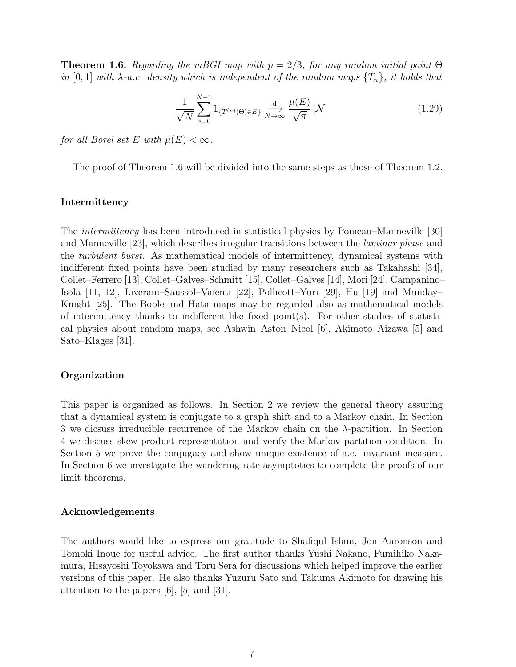**Theorem 1.6.** Regarding the mBGI map with  $p = 2/3$ , for any random initial point  $\Theta$ in [0, 1] with  $\lambda$ -a.c. density which is independent of the random maps  $\{T_n\}$ , it holds that

$$
\frac{1}{\sqrt{N}}\sum_{n=0}^{N-1} 1_{\{T^{(n)}(\Theta)\in E\}}\xrightarrow[N\to\infty]{\mathrm{d}} \frac{\mu(E)}{\sqrt{\pi}}|\mathcal{N}|\tag{1.29}
$$

for all Borel set E with  $\mu(E) < \infty$ .

The proof of Theorem 1.6 will be divided into the same steps as those of Theorem 1.2.

#### Intermittency

The intermittency has been introduced in statistical physics by Pomeau–Manneville [30] and Manneville [23], which describes irregular transitions between the laminar phase and the turbulent burst. As mathematical models of intermittency, dynamical systems with indifferent fixed points have been studied by many researchers such as Takahashi [34], Collet–Ferrero [13], Collet–Galves–Schmitt [15], Collet–Galves [14], Mori [24], Campanino– Isola [11, 12], Liverani–Saussol–Vaienti [22], Pollicott–Yuri [29], Hu [19] and Munday– Knight [25]. The Boole and Hata maps may be regarded also as mathematical models of intermittency thanks to indifferent-like fixed point(s). For other studies of statistical physics about random maps, see Ashwin–Aston–Nicol [6], Akimoto–Aizawa [5] and Sato–Klages [31].

#### Organization

This paper is organized as follows. In Section 2 we review the general theory assuring that a dynamical system is conjugate to a graph shift and to a Markov chain. In Section 3 we dicsuss irreducible recurrence of the Markov chain on the  $\lambda$ -partition. In Section 4 we discuss skew-product representation and verify the Markov partition condition. In Section 5 we prove the conjugacy and show unique existence of a.c. invariant measure. In Section 6 we investigate the wandering rate asymptotics to complete the proofs of our limit theorems.

#### Acknowledgements

The authors would like to express our gratitude to Shafiqul Islam, Jon Aaronson and Tomoki Inoue for useful advice. The first author thanks Yushi Nakano, Fumihiko Nakamura, Hisayoshi Toyokawa and Toru Sera for discussions which helped improve the earlier versions of this paper. He also thanks Yuzuru Sato and Takuma Akimoto for drawing his attention to the papers [6], [5] and [31].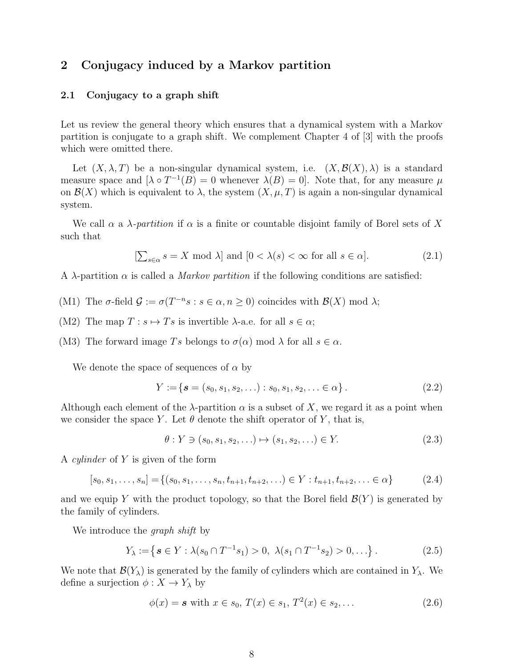## 2 Conjugacy induced by a Markov partition

#### 2.1 Conjugacy to a graph shift

Let us review the general theory which ensures that a dynamical system with a Markov partition is conjugate to a graph shift. We complement Chapter 4 of [3] with the proofs which were omitted there.

Let  $(X, \lambda, T)$  be a non-singular dynamical system, i.e.  $(X, \mathcal{B}(X), \lambda)$  is a standard measure space and  $[\lambda \circ T^{-1}(B) = 0$  whenever  $\lambda(B) = 0$ . Note that, for any measure  $\mu$ on  $\mathcal{B}(X)$  which is equivalent to  $\lambda$ , the system  $(X, \mu, T)$  is again a non-singular dynamical system.

We call  $\alpha$  a  $\lambda$ -partition if  $\alpha$  is a finite or countable disjoint family of Borel sets of X such that

$$
[\sum_{s \in \alpha} s = X \text{ mod } \lambda] \text{ and } [0 < \lambda(s) < \infty \text{ for all } s \in \alpha]. \tag{2.1}
$$

A  $\lambda$ -partition  $\alpha$  is called a *Markov partition* if the following conditions are satisfied:

- (M1) The  $\sigma$ -field  $\mathcal{G} := \sigma(T^{-n}s : s \in \alpha, n \ge 0)$  coincides with  $\mathcal{B}(X)$  mod  $\lambda$ ;
- (M2) The map  $T : s \mapsto Ts$  is invertible  $\lambda$ -a.e. for all  $s \in \alpha$ ;
- (M3) The forward image Ts belongs to  $\sigma(\alpha)$  mod  $\lambda$  for all  $s \in \alpha$ .

We denote the space of sequences of  $\alpha$  by

$$
Y := \{ \mathbf{s} = (s_0, s_1, s_2, \ldots) : s_0, s_1, s_2, \ldots \in \alpha \}.
$$
 (2.2)

Although each element of the  $\lambda$ -partition  $\alpha$  is a subset of X, we regard it as a point when we consider the space Y. Let  $\theta$  denote the shift operator of Y, that is,

$$
\theta: Y \ni (s_0, s_1, s_2, \ldots) \mapsto (s_1, s_2, \ldots) \in Y. \tag{2.3}
$$

A cylinder of Y is given of the form

$$
[s_0, s_1, \dots, s_n] = \{(s_0, s_1, \dots, s_n, t_{n+1}, t_{n+2}, \dots) \in Y : t_{n+1}, t_{n+2}, \dots \in \alpha\}
$$
 (2.4)

and we equip Y with the product topology, so that the Borel field  $\mathcal{B}(Y)$  is generated by the family of cylinders.

We introduce the *graph shift* by

$$
Y_{\lambda} := \left\{ \boldsymbol{s} \in Y : \lambda(s_0 \cap T^{-1} s_1) > 0, \ \lambda(s_1 \cap T^{-1} s_2) > 0, \ldots \right\}.
$$
 (2.5)

We note that  $\mathcal{B}(Y_\lambda)$  is generated by the family of cylinders which are contained in  $Y_\lambda$ . We define a surjection  $\phi: X \to Y_\lambda$  by

$$
\phi(x) = \mathbf{s} \text{ with } x \in s_0, \, T(x) \in s_1, \, T^2(x) \in s_2, \, \dots \tag{2.6}
$$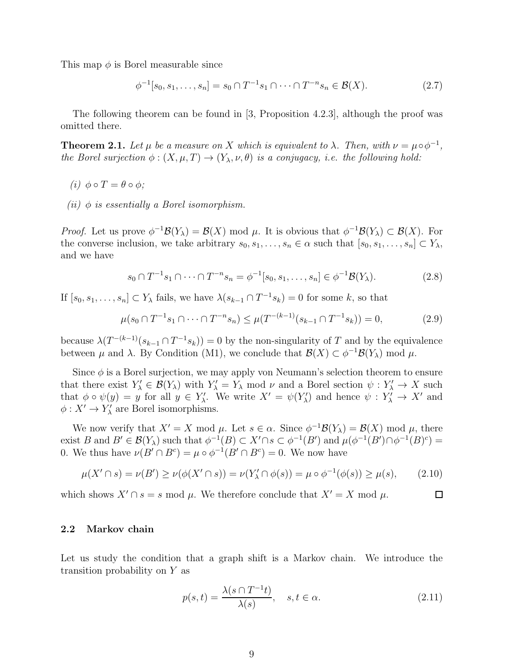This map  $\phi$  is Borel measurable since

$$
\phi^{-1}[s_0, s_1, \dots, s_n] = s_0 \cap T^{-1} s_1 \cap \dots \cap T^{-n} s_n \in \mathcal{B}(X). \tag{2.7}
$$

The following theorem can be found in [3, Proposition 4.2.3], although the proof was omitted there.

**Theorem 2.1.** Let  $\mu$  be a measure on X which is equivalent to  $\lambda$ . Then, with  $\nu = \mu \circ \phi^{-1}$ , the Borel surjection  $\phi: (X, \mu, T) \to (Y_{\lambda}, \nu, \theta)$  is a conjugacy, i.e. the following hold:

- (i)  $\phi \circ T = \theta \circ \phi$ ;
- (*ii*)  $\phi$  is essentially a Borel isomorphism.

Proof. Let us prove  $\phi^{-1}\mathcal{B}(Y_\lambda) = \mathcal{B}(X)$  mod  $\mu$ . It is obvious that  $\phi^{-1}\mathcal{B}(Y_\lambda) \subset \mathcal{B}(X)$ . For the converse inclusion, we take arbitrary  $s_0, s_1, \ldots, s_n \in \alpha$  such that  $[s_0, s_1, \ldots, s_n] \subset Y_\lambda$ , and we have

$$
s_0 \cap T^{-1} s_1 \cap \dots \cap T^{-n} s_n = \phi^{-1}[s_0, s_1, \dots, s_n] \in \phi^{-1} \mathcal{B}(Y_\lambda). \tag{2.8}
$$

If  $[s_0, s_1, \ldots, s_n] \subset Y_\lambda$  fails, we have  $\lambda(s_{k-1} \cap T^{-1}s_k) = 0$  for some k, so that

$$
\mu(s_0 \cap T^{-1} s_1 \cap \dots \cap T^{-n} s_n) \le \mu(T^{-(k-1)}(s_{k-1} \cap T^{-1} s_k)) = 0,
$$
\n(2.9)

because  $\lambda(T^{-(k-1)}(s_{k-1}\cap T^{-1}s_k))=0$  by the non-singularity of T and by the equivalence between  $\mu$  and  $\lambda$ . By Condition (M1), we conclude that  $\mathcal{B}(X) \subset \phi^{-1} \mathcal{B}(Y_\lambda)$  mod  $\mu$ .

Since  $\phi$  is a Borel surjection, we may apply von Neumann's selection theorem to ensure that there exist  $Y'_\lambda \in \mathcal{B}(Y_\lambda)$  with  $Y'_\lambda = Y_\lambda \mod \nu$  and a Borel section  $\psi: Y'_\lambda \to X$  such that  $\phi \circ \psi(y) = y$  for all  $y \in Y'_\lambda$ . We write  $X' = \psi(Y'_\lambda)$  and hence  $\psi : Y'_\lambda \to X'$  and  $\phi: X' \to Y'_{\lambda}$  are Borel isomorphisms.

We now verify that  $X' = X \text{ mod } \mu$ . Let  $s \in \alpha$ . Since  $\phi^{-1} \mathcal{B}(Y_\lambda) = \mathcal{B}(X) \text{ mod } \mu$ , there exist B and  $B' \in \mathcal{B}(Y_\lambda)$  such that  $\phi^{-1}(B) \subset X' \cap s \subset \phi^{-1}(B')$  and  $\mu(\phi^{-1}(B') \cap \phi^{-1}(B)^c) =$ 0. We thus have  $\nu(B' \cap B^c) = \mu \circ \phi^{-1}(B' \cap B^c) = 0$ . We now have

$$
\mu(X' \cap s) = \nu(B') \ge \nu(\phi(X' \cap s)) = \nu(Y'_{\lambda} \cap \phi(s)) = \mu \circ \phi^{-1}(\phi(s)) \ge \mu(s), \qquad (2.10)
$$

which shows  $X' \cap s = s \mod \mu$ . We therefore conclude that  $X' = X \mod \mu$ .

#### 2.2 Markov chain

Let us study the condition that a graph shift is a Markov chain. We introduce the transition probability on Y as

$$
p(s,t) = \frac{\lambda(s \cap T^{-1}t)}{\lambda(s)}, \quad s, t \in \alpha.
$$
 (2.11)

 $\Box$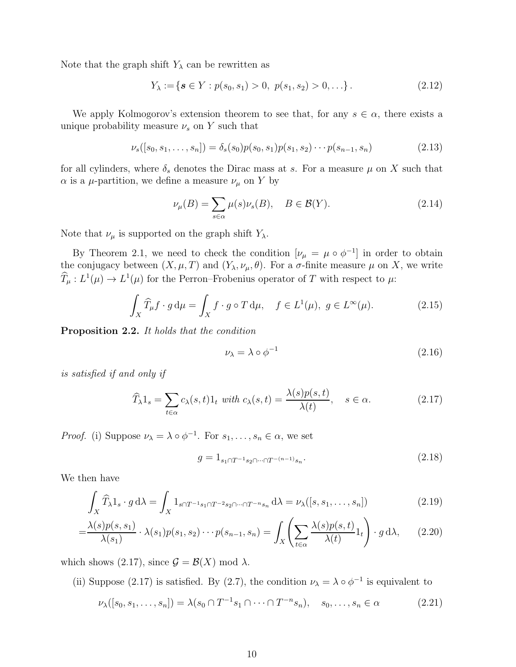Note that the graph shift  $Y_{\lambda}$  can be rewritten as

$$
Y_{\lambda} := \{ \mathbf{s} \in Y : p(s_0, s_1) > 0, \ p(s_1, s_2) > 0, \ldots \}.
$$
 (2.12)

We apply Kolmogorov's extension theorem to see that, for any  $s \in \alpha$ , there exists a unique probability measure  $\nu_s$  on Y such that

$$
\nu_s([s_0, s_1, \dots, s_n]) = \delta_s(s_0) p(s_0, s_1) p(s_1, s_2) \cdots p(s_{n-1}, s_n)
$$
\n(2.13)

for all cylinders, where  $\delta_s$  denotes the Dirac mass at s. For a measure  $\mu$  on X such that  $\alpha$  is a *μ*-partition, we define a measure  $\nu$ <sub>μ</sub> on Y by

$$
\nu_{\mu}(B) = \sum_{s \in \alpha} \mu(s)\nu_s(B), \quad B \in \mathcal{B}(Y). \tag{2.14}
$$

Note that  $\nu_{\mu}$  is supported on the graph shift  $Y_{\lambda}$ .

By Theorem 2.1, we need to check the condition  $[\nu_{\mu} = \mu \circ \phi^{-1}]$  in order to obtain the conjugacy between  $(X, \mu, T)$  and  $(Y_{\lambda}, \nu_{\mu}, \theta)$ . For a  $\sigma$ -finite measure  $\mu$  on X, we write  $\hat{T}_{\mu}: L^{1}(\mu) \to L^{1}(\mu)$  for the Perron–Frobenius operator of T with respect to  $\mu$ :

$$
\int_{X} \widehat{T}_{\mu} f \cdot g d\mu = \int_{X} f \cdot g \circ T d\mu, \quad f \in L^{1}(\mu), \ g \in L^{\infty}(\mu). \tag{2.15}
$$

Proposition 2.2. It holds that the condition

$$
\nu_{\lambda} = \lambda \circ \phi^{-1} \tag{2.16}
$$

is satisfied if and only if

$$
\widehat{T}_{\lambda}1_s = \sum_{t \in \alpha} c_{\lambda}(s, t)1_t \text{ with } c_{\lambda}(s, t) = \frac{\lambda(s)p(s, t)}{\lambda(t)}, \quad s \in \alpha. \tag{2.17}
$$

*Proof.* (i) Suppose  $\nu_{\lambda} = \lambda \circ \phi^{-1}$ . For  $s_1, \ldots, s_n \in \alpha$ , we set

$$
g = 1_{s_1 \cap T^{-1} s_2 \cap \dots \cap T^{-(n-1)} s_n}.
$$
\n(2.18)

We then have

$$
\int_X \widehat{T}_{\lambda} 1_s \cdot g \, d\lambda = \int_X 1_{s \cap T^{-1} s_1 \cap T^{-2} s_2 \cap \dots \cap T^{-n} s_n} \, d\lambda = \nu_{\lambda}([s, s_1, \dots, s_n]) \tag{2.19}
$$

$$
= \frac{\lambda(s)p(s,s_1)}{\lambda(s_1)} \cdot \lambda(s_1)p(s_1,s_2)\cdots p(s_{n-1},s_n) = \int_X \left(\sum_{t \in \alpha} \frac{\lambda(s)p(s,t)}{\lambda(t)}1_t\right) \cdot g \,d\lambda, \qquad (2.20)
$$

which shows (2.17), since  $\mathcal{G} = \mathcal{B}(X) \text{ mod } \lambda$ .

(ii) Suppose (2.17) is satisfied. By (2.7), the condition  $\nu_{\lambda} = \lambda \circ \phi^{-1}$  is equivalent to

$$
\nu_{\lambda}([s_0, s_1, \dots, s_n]) = \lambda(s_0 \cap T^{-1} s_1 \cap \dots \cap T^{-n} s_n), \quad s_0, \dots, s_n \in \alpha \tag{2.21}
$$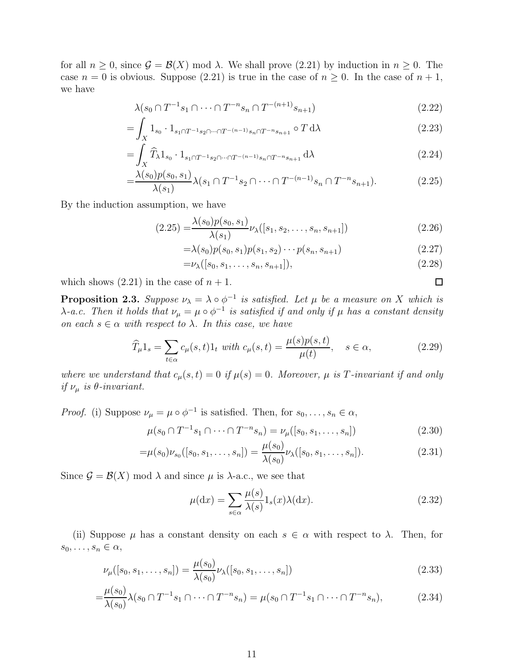for all  $n \geq 0$ , since  $\mathcal{G} = \mathcal{B}(X)$  mod  $\lambda$ . We shall prove (2.21) by induction in  $n \geq 0$ . The case  $n = 0$  is obvious. Suppose (2.21) is true in the case of  $n \ge 0$ . In the case of  $n + 1$ , we have

$$
\lambda(s_0 \cap T^{-1} s_1 \cap \dots \cap T^{-n} s_n \cap T^{-(n+1)} s_{n+1})
$$
\n(2.22)

$$
= \int_X 1_{s_0} \cdot 1_{s_1 \cap T^{-1} s_2 \cap \dots \cap T^{-(n-1)} s_n \cap T^{-n} s_{n+1}} \circ T d\lambda \tag{2.23}
$$

$$
=\int_X \widehat{T}_{\lambda} 1_{s_0} \cdot 1_{s_1 \cap T^{-1} s_2 \cap \dots \cap T^{-(n-1)} s_n \cap T^{-n} s_{n+1}} d\lambda
$$
\n(2.24)

$$
=\frac{\lambda(s_0)p(s_0,s_1)}{\lambda(s_1)}\lambda(s_1\cap T^{-1}s_2\cap\cdots\cap T^{-(n-1)}s_n\cap T^{-n}s_{n+1}).
$$
\n(2.25)

By the induction assumption, we have

$$
(2.25) = \frac{\lambda(s_0)p(s_0, s_1)}{\lambda(s_1)}\nu_\lambda([s_1, s_2, \dots, s_n, s_{n+1}])
$$
\n(2.26)

$$
= \lambda(s_0) p(s_0, s_1) p(s_1, s_2) \cdots p(s_n, s_{n+1})
$$
\n(2.27)

$$
= \nu_{\lambda}([s_0, s_1, \dots, s_n, s_{n+1}]), \tag{2.28}
$$

which shows  $(2.21)$  in the case of  $n + 1$ .

**Proposition 2.3.** Suppose  $\nu_{\lambda} = \lambda \circ \phi^{-1}$  is satisfied. Let  $\mu$  be a measure on X which is  $\lambda$ -a.c. Then it holds that  $\nu_{\mu} = \mu \circ \phi^{-1}$  is satisfied if and only if  $\mu$  has a constant density on each  $s \in \alpha$  with respect to  $\lambda$ . In this case, we have

$$
\widehat{T}_{\mu}1_s = \sum_{t \in \alpha} c_{\mu}(s, t)1_t \text{ with } c_{\mu}(s, t) = \frac{\mu(s)p(s, t)}{\mu(t)}, \quad s \in \alpha,
$$
\n(2.29)

where we understand that  $c_{\mu}(s,t) = 0$  if  $\mu(s) = 0$ . Moreover,  $\mu$  is T-invariant if and only if  $\nu_{\mu}$  is  $\theta$ -invariant.

*Proof.* (i) Suppose  $\nu_{\mu} = \mu \circ \phi^{-1}$  is satisfied. Then, for  $s_0, \ldots, s_n \in \alpha$ ,

$$
\mu(s_0 \cap T^{-1} s_1 \cap \dots \cap T^{-n} s_n) = \nu_\mu([s_0, s_1, \dots, s_n])
$$
\n(2.30)

$$
= \mu(s_0)\nu_{s_0}([s_0, s_1, \dots, s_n]) = \frac{\mu(s_0)}{\lambda(s_0)}\nu_{\lambda}([s_0, s_1, \dots, s_n]).
$$
\n(2.31)

Since  $\mathcal{G} = \mathcal{B}(X)$  mod  $\lambda$  and since  $\mu$  is  $\lambda$ -a.c., we see that

$$
\mu(\mathrm{d}x) = \sum_{s \in \alpha} \frac{\mu(s)}{\lambda(s)} 1_s(x) \lambda(\mathrm{d}x). \tag{2.32}
$$

(ii) Suppose  $\mu$  has a constant density on each  $s \in \alpha$  with respect to  $\lambda$ . Then, for  $s_0, \ldots, s_n \in \alpha$ ,

$$
\nu_{\mu}([s_0, s_1, \dots, s_n]) = \frac{\mu(s_0)}{\lambda(s_0)} \nu_{\lambda}([s_0, s_1, \dots, s_n])
$$
\n(2.33)

$$
= \frac{\mu(s_0)}{\lambda(s_0)} \lambda(s_0 \cap T^{-1} s_1 \cap \dots \cap T^{-n} s_n) = \mu(s_0 \cap T^{-1} s_1 \cap \dots \cap T^{-n} s_n),
$$
\n(2.34)

 $\Box$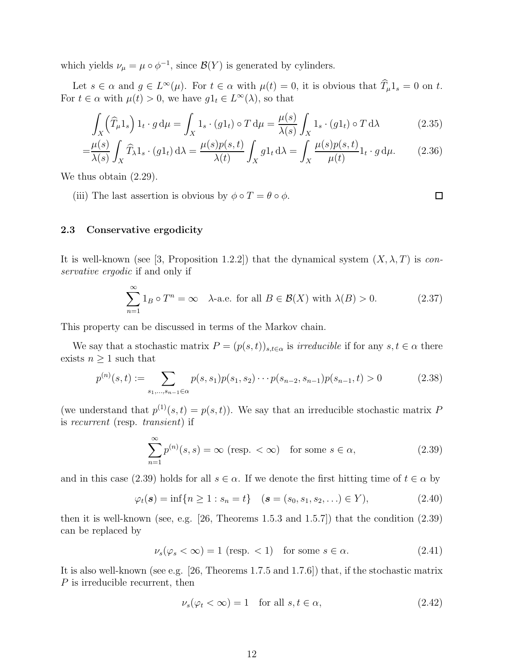which yields  $\nu_{\mu} = \mu \circ \phi^{-1}$ , since  $\mathcal{B}(Y)$  is generated by cylinders.

Let  $s \in \alpha$  and  $g \in L^{\infty}(\mu)$ . For  $t \in \alpha$  with  $\mu(t) = 0$ , it is obvious that  $T_{\mu}1_s = 0$  on t. For  $t \in \alpha$  with  $\mu(t) > 0$ , we have  $g1_t \in L^{\infty}(\lambda)$ , so that

$$
\int_{X} (\widehat{T}_{\mu} 1_{s}) 1_{t} \cdot g d\mu = \int_{X} 1_{s} \cdot (g1_{t}) \circ T d\mu = \frac{\mu(s)}{\lambda(s)} \int_{X} 1_{s} \cdot (g1_{t}) \circ T d\lambda \tag{2.35}
$$

$$
= \frac{\mu(s)}{\lambda(s)} \int_X \widehat{T}_{\lambda} 1_s \cdot (g1_t) \, d\lambda = \frac{\mu(s)p(s,t)}{\lambda(t)} \int_X g1_t \, d\lambda = \int_X \frac{\mu(s)p(s,t)}{\mu(t)} 1_t \cdot g \, d\mu. \tag{2.36}
$$

We thus obtain  $(2.29)$ .

(iii) The last assertion is obvious by  $\phi \circ T = \theta \circ \phi$ .

#### 2.3 Conservative ergodicity

It is well-known (see [3, Proposition 1.2.2]) that the dynamical system  $(X, \lambda, T)$  is conservative ergodic if and only if

$$
\sum_{n=1}^{\infty} 1_B \circ T^n = \infty \quad \lambda\text{-a.e. for all } B \in \mathcal{B}(X) \text{ with } \lambda(B) > 0. \tag{2.37}
$$

This property can be discussed in terms of the Markov chain.

We say that a stochastic matrix  $P = (p(s,t))_{s,t \in \alpha}$  is *irreducible* if for any  $s, t \in \alpha$  there exists  $n \geq 1$  such that

$$
p^{(n)}(s,t) := \sum_{s_1,\dots,s_{n-1}\in\alpha} p(s,s_1)p(s_1,s_2)\cdots p(s_{n-2},s_{n-1})p(s_{n-1},t) > 0
$$
\n(2.38)

(we understand that  $p^{(1)}(s,t) = p(s,t)$ ). We say that an irreducible stochastic matrix P is recurrent (resp. transient) if

$$
\sum_{n=1}^{\infty} p^{(n)}(s,s) = \infty \text{ (resp. } < \infty \text{) for some } s \in \alpha,
$$
 (2.39)

and in this case (2.39) holds for all  $s \in \alpha$ . If we denote the first hitting time of  $t \in \alpha$  by

$$
\varphi_t(\mathbf{s}) = \inf\{n \ge 1 : s_n = t\}
$$
  $(\mathbf{s} = (s_0, s_1, s_2, \ldots) \in Y),$  (2.40)

then it is well-known (see, e.g. [26, Theorems 1.5.3 and 1.5.7]) that the condition (2.39) can be replaced by

$$
\nu_s(\varphi_s < \infty) = 1 \text{ (resp. } < 1) \quad \text{for some } s \in \alpha. \tag{2.41}
$$

It is also well-known (see e.g. [26, Theorems 1.7.5 and 1.7.6]) that, if the stochastic matrix P is irreducible recurrent, then

$$
\nu_s(\varphi_t < \infty) = 1 \quad \text{for all } s, t \in \alpha,\tag{2.42}
$$

 $\Box$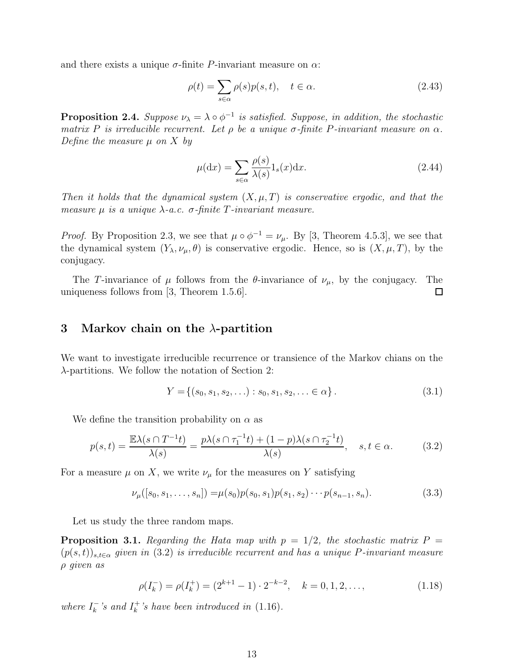and there exists a unique  $\sigma$ -finite P-invariant measure on  $\alpha$ :

$$
\rho(t) = \sum_{s \in \alpha} \rho(s) p(s, t), \quad t \in \alpha.
$$
\n(2.43)

**Proposition 2.4.** Suppose  $\nu_{\lambda} = \lambda \circ \phi^{-1}$  is satisfied. Suppose, in addition, the stochastic matrix P is irreducible recurrent. Let  $\rho$  be a unique  $\sigma$ -finite P-invariant measure on  $\alpha$ . Define the measure  $\mu$  on X by

$$
\mu(\mathrm{d}x) = \sum_{s \in \alpha} \frac{\rho(s)}{\lambda(s)} 1_s(x) \mathrm{d}x. \tag{2.44}
$$

Then it holds that the dynamical system  $(X, \mu, T)$  is conservative ergodic, and that the measure  $\mu$  is a unique  $\lambda$ -a.c.  $\sigma$ -finite T-invariant measure.

*Proof.* By Proposition 2.3, we see that  $\mu \circ \phi^{-1} = \nu_{\mu}$ . By [3, Theorem 4.5.3], we see that the dynamical system  $(Y_\lambda, \nu_\mu, \theta)$  is conservative ergodic. Hence, so is  $(X, \mu, T)$ , by the conjugacy.

The T-invariance of  $\mu$  follows from the  $\theta$ -invariance of  $\nu_{\mu}$ , by the conjugacy. The uniqueness follows from [3, Theorem 1.5.6].  $\Box$ 

## 3 Markov chain on the  $\lambda$ -partition

We want to investigate irreducible recurrence or transience of the Markov chians on the λ-partitions. We follow the notation of Section 2:

$$
Y = \{(s_0, s_1, s_2, \ldots) : s_0, s_1, s_2, \ldots \in \alpha\}.
$$
\n(3.1)

We define the transition probability on  $\alpha$  as

$$
p(s,t) = \frac{\mathbb{E}\lambda(s \cap T^{-1}t)}{\lambda(s)} = \frac{p\lambda(s \cap \tau_1^{-1}t) + (1-p)\lambda(s \cap \tau_2^{-1}t)}{\lambda(s)}, \quad s, t \in \alpha.
$$
 (3.2)

For a measure  $\mu$  on X, we write  $\nu_{\mu}$  for the measures on Y satisfying

$$
\nu_{\mu}([s_0, s_1, \dots, s_n]) = \mu(s_0) p(s_0, s_1) p(s_1, s_2) \cdots p(s_{n-1}, s_n). \tag{3.3}
$$

Let us study the three random maps.

**Proposition 3.1.** Regarding the Hata map with  $p = 1/2$ , the stochastic matrix  $P =$  $(p(s,t))_{s,t\in\alpha}$  given in (3.2) is irreducible recurrent and has a unique P-invariant measure ρ given as

$$
\rho(I_k^-) = \rho(I_k^+) = (2^{k+1} - 1) \cdot 2^{-k-2}, \quad k = 0, 1, 2, \dots,
$$
\n(1.18)

where  $I_k^ \frac{k}{k}$ 's and  $I_k^+$  $\frac{1}{k}$ 's have been introduced in  $(1.16)$ .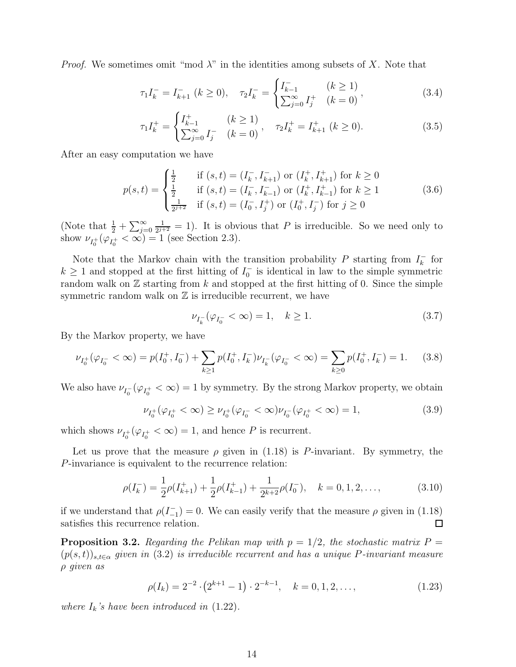*Proof.* We sometimes omit "mod  $\lambda$ " in the identities among subsets of X. Note that

$$
\tau_1 I_k^- = I_{k+1}^- \ (k \ge 0), \quad \tau_2 I_k^- = \begin{cases} I_{k-1}^- & (k \ge 1) \\ \sum_{j=0}^\infty I_j^+ & (k = 0) \end{cases}, \tag{3.4}
$$

$$
\tau_1 I_k^+ = \begin{cases} I_{k-1}^+ & (k \ge 1) \\ \sum_{j=0}^\infty I_j^- & (k = 0) \end{cases}, \quad \tau_2 I_k^+ = I_{k+1}^+ \ (k \ge 0). \tag{3.5}
$$

After an easy computation we have

$$
p(s,t) = \begin{cases} \frac{1}{2} & \text{if } (s,t) = (I_k^-, I_{k+1}^-) \text{ or } (I_k^+, I_{k+1}^+) \text{ for } k \ge 0\\ \frac{1}{2} & \text{if } (s,t) = (I_k^-, I_{k-1}^-) \text{ or } (I_k^+, I_{k-1}^+) \text{ for } k \ge 1\\ \frac{1}{2^{j+2}} & \text{if } (s,t) = (I_0^-, I_j^+) \text{ or } (I_0^+, I_j^-) \text{ for } j \ge 0 \end{cases}
$$
(3.6)

(Note that  $\frac{1}{2} + \sum_{j=0}^{\infty}$ 1  $\frac{1}{2^{j+2}} = 1$ ). It is obvious that P is irreducible. So we need only to show  $\nu_{I_0^+}(\varphi_{I_0^+} < \infty) = 1$  (see Section 2.3).

Note that the Markov chain with the transition probability P starting from  $I_k^ \overline{k}$  for  $k \geq 1$  and stopped at the first hitting of  $I_0^-$  is identical in law to the simple symmetric random walk on  $\mathbb Z$  starting from k and stopped at the first hitting of 0. Since the simple symmetric random walk on  $\mathbb Z$  is irreducible recurrent, we have

$$
\nu_{I_k^-}(\varphi_{I_0^-} < \infty) = 1, \quad k \ge 1. \tag{3.7}
$$

By the Markov property, we have

$$
\nu_{I_0^+}(\varphi_{I_0^-} < \infty) = p(I_0^+, I_0^-) + \sum_{k \ge 1} p(I_0^+, I_k^-) \nu_{I_k^-}(\varphi_{I_0^-} < \infty) = \sum_{k \ge 0} p(I_0^+, I_k^-) = 1. \tag{3.8}
$$

We also have  $\nu_{I_0^-}(\varphi_{I_0^+}<\infty)=1$  by symmetry. By the strong Markov property, we obtain

$$
\nu_{I_0^+}(\varphi_{I_0^+} < \infty) \ge \nu_{I_0^+}(\varphi_{I_0^-} < \infty)\nu_{I_0^-}(\varphi_{I_0^+} < \infty) = 1,\tag{3.9}
$$

which shows  $\nu_{I_0^+}(\varphi_{I_0^+}<\infty)=1$ , and hence P is recurrent.

Let us prove that the measure  $\rho$  given in (1.18) is P-invariant. By symmetry, the P-invariance is equivalent to the recurrence relation:

$$
\rho(I_k^-) = \frac{1}{2}\rho(I_{k+1}^+) + \frac{1}{2}\rho(I_{k-1}^+) + \frac{1}{2^{k+2}}\rho(I_0^-), \quad k = 0, 1, 2, \dots,
$$
\n(3.10)

if we understand that  $\rho(I_{-1}^{-})=0$ . We can easily verify that the measure  $\rho$  given in (1.18) satisfies this recurrence relation. 口

**Proposition 3.2.** Regarding the Pelikan map with  $p = 1/2$ , the stochastic matrix  $P =$  $(p(s,t))_{s,t\in\alpha}$  given in (3.2) is irreducible recurrent and has a unique P-invariant measure ρ given as

$$
\rho(I_k) = 2^{-2} \cdot (2^{k+1} - 1) \cdot 2^{-k-1}, \quad k = 0, 1, 2, \dots,
$$
\n(1.23)

where  $I_k$ 's have been introduced in  $(1.22)$ .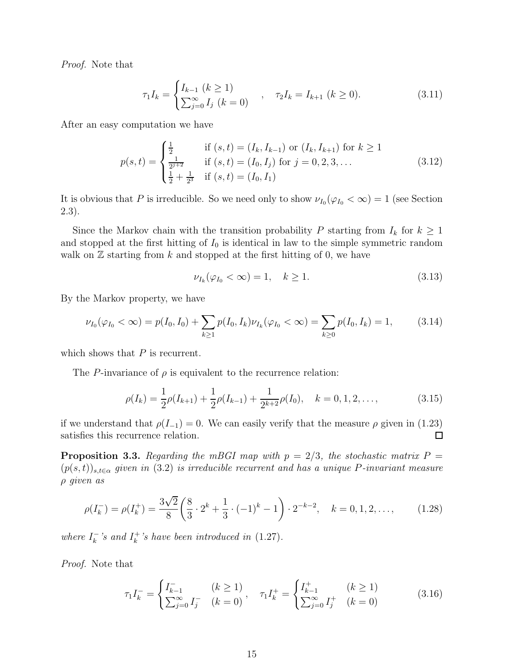Proof. Note that

$$
\tau_1 I_k = \begin{cases} I_{k-1} \ (k \ge 1) \\ \sum_{j=0}^{\infty} I_j \ (k=0) \end{cases}, \quad \tau_2 I_k = I_{k+1} \ (k \ge 0). \tag{3.11}
$$

After an easy computation we have

$$
p(s,t) = \begin{cases} \frac{1}{2} & \text{if } (s,t) = (I_k, I_{k-1}) \text{ or } (I_k, I_{k+1}) \text{ for } k \ge 1\\ \frac{1}{2^{j+2}} & \text{if } (s,t) = (I_0, I_j) \text{ for } j = 0, 2, 3, ...\\ \frac{1}{2} + \frac{1}{2^3} & \text{if } (s,t) = (I_0, I_1) \end{cases}
$$
(3.12)

It is obvious that P is irreducible. So we need only to show  $\nu_{I_0}(\varphi_{I_0} < \infty) = 1$  (see Section 2.3).

Since the Markov chain with the transition probability P starting from  $I_k$  for  $k \geq 1$ and stopped at the first hitting of  $I_0$  is identical in law to the simple symmetric random walk on  $\mathbb Z$  starting from k and stopped at the first hitting of 0, we have

$$
\nu_{I_k}(\varphi_{I_0} < \infty) = 1, \quad k \ge 1. \tag{3.13}
$$

By the Markov property, we have

$$
\nu_{I_0}(\varphi_{I_0} < \infty) = p(I_0, I_0) + \sum_{k \ge 1} p(I_0, I_k) \nu_{I_k}(\varphi_{I_0} < \infty) = \sum_{k \ge 0} p(I_0, I_k) = 1,\tag{3.14}
$$

which shows that  $P$  is recurrent.

The P-invariance of  $\rho$  is equivalent to the recurrence relation:

$$
\rho(I_k) = \frac{1}{2}\rho(I_{k+1}) + \frac{1}{2}\rho(I_{k-1}) + \frac{1}{2^{k+2}}\rho(I_0), \quad k = 0, 1, 2, \dots,
$$
\n(3.15)

if we understand that  $\rho(I_{-1}) = 0$ . We can easily verify that the measure  $\rho$  given in (1.23) satisfies this recurrence relation.  $\Box$ 

**Proposition 3.3.** Regarding the mBGI map with  $p = 2/3$ , the stochastic matrix  $P =$  $(p(s,t))_{s,t\in\alpha}$  given in (3.2) is irreducible recurrent and has a unique P-invariant measure ρ given as

$$
\rho(I_k^-) = \rho(I_k^+) = \frac{3\sqrt{2}}{8} \left( \frac{8}{3} \cdot 2^k + \frac{1}{3} \cdot (-1)^k - 1 \right) \cdot 2^{-k-2}, \quad k = 0, 1, 2, \dots, \tag{1.28}
$$

where  $I_k^ \frac{1}{k}$ 's and  $I_k^+$  $\frac{1}{k}$ 's have been introduced in  $(1.27)$ .

Proof. Note that

$$
\tau_1 I_k^- = \begin{cases} I_{k-1}^- & (k \ge 1) \\ \sum_{j=0}^\infty I_j^- & (k = 0) \end{cases}, \quad \tau_1 I_k^+ = \begin{cases} I_{k-1}^+ & (k \ge 1) \\ \sum_{j=0}^\infty I_j^+ & (k = 0) \end{cases}
$$
(3.16)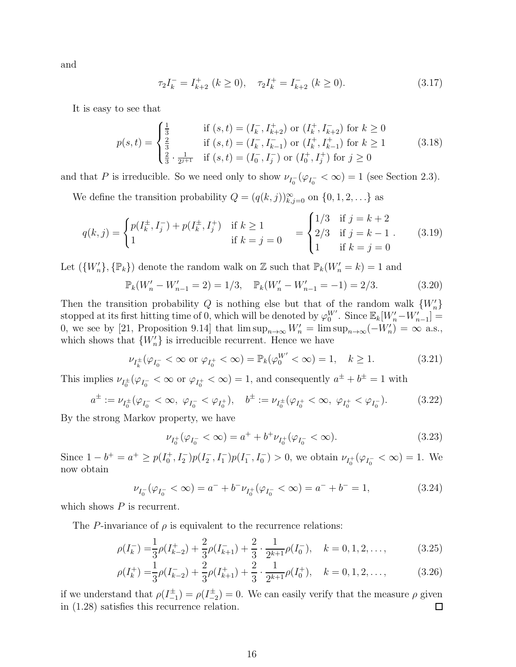and

$$
\tau_2 I_k^- = I_{k+2}^+ \ (k \ge 0), \quad \tau_2 I_k^+ = I_{k+2}^- \ (k \ge 0). \tag{3.17}
$$

It is easy to see that

$$
p(s,t) = \begin{cases} \frac{1}{3} & \text{if } (s,t) = (I_k^-, I_{k+2}^+) \text{ or } (I_k^+, I_{k+2}^-) \text{ for } k \ge 0\\ \frac{2}{3} & \text{if } (s,t) = (I_k^-, I_{k-1}^-) \text{ or } (I_k^+, I_{k-1}^+) \text{ for } k \ge 1\\ \frac{2}{3} \cdot \frac{1}{2^{j+1}} & \text{if } (s,t) = (I_0^-, I_j^-) \text{ or } (I_0^+, I_j^+) \text{ for } j \ge 0 \end{cases} \tag{3.18}
$$

and that P is irreducible. So we need only to show  $\nu_{I_0^-}(\varphi_{I_0^-} < \infty) = 1$  (see Section 2.3).

We define the transition probability  $Q = (q(k, j))_{k,j=0}^{\infty}$  on  $\{0, 1, 2, \ldots\}$  as

$$
q(k,j) = \begin{cases} p(I_k^{\pm}, I_j^-) + p(I_k^{\pm}, I_j^+) & \text{if } k \ge 1 \\ 1 & \text{if } k = j = 0 \end{cases} = \begin{cases} 1/3 & \text{if } j = k + 2 \\ 2/3 & \text{if } j = k - 1 \\ 1 & \text{if } k = j = 0 \end{cases}
$$
(3.19)

Let  $(\{W'_n\}, \{\mathbb{P}_k\})$  denote the random walk on Z such that  $\mathbb{P}_k(W'_n = k) = 1$  and

$$
\mathbb{P}_k(W'_n - W'_{n-1} = 2) = 1/3, \quad \mathbb{P}_k(W'_n - W'_{n-1} = -1) = 2/3.
$$
 (3.20)

Then the transition probability Q is nothing else but that of the random walk  ${W'_n}$ stopped at its first hitting time of 0, which will be denoted by  $\varphi_0^{W'}$ . Since  $\mathbb{E}_k[W'_n-W'_{n-1}] =$ 0, we see by [21, Proposition 9.14] that  $\limsup_{n\to\infty}W'_n = \limsup_{n\to\infty}(-W'_n) = \infty$  a.s., which shows that  ${W'_n}$  is irreducible recurrent. Hence we have

$$
\nu_{I_k^{\pm}}(\varphi_{I_0^-} < \infty \text{ or } \varphi_{I_0^+} < \infty) = \mathbb{P}_k(\varphi_0^{W'} < \infty) = 1, \quad k \ge 1.
$$
 (3.21)

This implies  $\nu_{I_0^{\pm}}(\varphi_{I_0^-} < \infty \text{ or } \varphi_{I_0^+} < \infty) = 1$ , and consequently  $a^{\pm} + b^{\pm} = 1$  with

$$
a^{\pm} := \nu_{I_0^{\pm}}(\varphi_{I_0^-} < \infty, \ \varphi_{I_0^-} < \varphi_{I_0^+}), \quad b^{\pm} := \nu_{I_0^{\pm}}(\varphi_{I_0^+} < \infty, \ \varphi_{I_0^+} < \varphi_{I_0^-}). \tag{3.22}
$$

By the strong Markov property, we have

$$
\nu_{I_0^+}(\varphi_{I_0^-} < \infty) = a^+ + b^+ \nu_{I_0^+}(\varphi_{I_0^-} < \infty). \tag{3.23}
$$

Since  $1-b^+=a^+\geq p(I_0^+,I_2^-)p(I_2^-,I_1^-)p(I_1^-,I_0^-)>0$ , we obtain  $\nu_{I_0^+}(\varphi_{I_0^-}<\infty)=1$ . We now obtain

$$
\nu_{I_0^-}(\varphi_{I_0^-} < \infty) = a^- + b^- \nu_{I_0^+}(\varphi_{I_0^-} < \infty) = a^- + b^- = 1,
$$
\n(3.24)

which shows  $P$  is recurrent.

The P-invariance of  $\rho$  is equivalent to the recurrence relations:

$$
\rho(I_k^-) = \frac{1}{3}\rho(I_{k-2}^+) + \frac{2}{3}\rho(I_{k+1}^-) + \frac{2}{3}\cdot\frac{1}{2^{k+1}}\rho(I_0^-), \quad k = 0, 1, 2, \dots,
$$
\n(3.25)

$$
\rho(I_k^+) = \frac{1}{3}\rho(I_{k-2}^-) + \frac{2}{3}\rho(I_{k+1}^+) + \frac{2}{3} \cdot \frac{1}{2^{k+1}}\rho(I_0^+), \quad k = 0, 1, 2, \dots,
$$
\n(3.26)

if we understand that  $\rho(I_{-1}^{\pm}) = \rho(I_{-2}^{\pm}) = 0$ . We can easily verify that the measure  $\rho$  given in (1.28) satisfies this recurrence relation.  $\Box$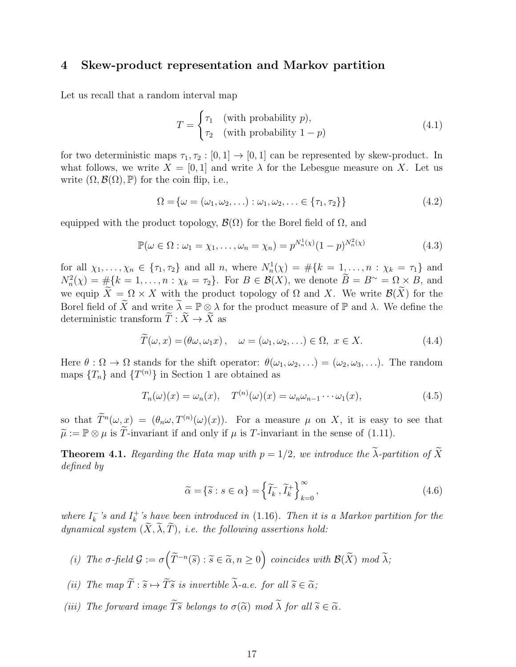## 4 Skew-product representation and Markov partition

Let us recall that a random interval map

$$
T = \begin{cases} \tau_1 & \text{(with probability } p), \\ \tau_2 & \text{(with probability } 1 - p) \end{cases}
$$
 (4.1)

for two deterministic maps  $\tau_1, \tau_2 : [0, 1] \to [0, 1]$  can be represented by skew-product. In what follows, we write  $X = [0, 1]$  and write  $\lambda$  for the Lebesgue measure on X. Let us write  $(\Omega, \mathcal{B}(\Omega), \mathbb{P})$  for the coin flip, i.e.,

$$
\Omega = {\omega = (\omega_1, \omega_2, \ldots) : \omega_1, \omega_2, \ldots \in {\tau_1, \tau_2}}
$$
\n
$$
(4.2)
$$

equipped with the product topology,  $\mathcal{B}(\Omega)$  for the Borel field of  $\Omega$ , and

$$
\mathbb{P}(\omega \in \Omega : \omega_1 = \chi_1, \dots, \omega_n = \chi_n) = p^{N_n^1(\chi)} (1 - p)^{N_n^2(\chi)}
$$
(4.3)

for all  $\chi_1, ..., \chi_n \in {\tau_1, \tau_2}$  and all n, where  $N_n^1(\chi) = \#\{k = 1, ..., n : \chi_k = \tau_1\}$  and  $N_n^2(\chi) = \#\{k = 1, \ldots, n : \chi_k = \tau_2\}.$  For  $B \in \mathcal{B}(X)$ , we denote  $B = B^{\sim} = \Omega \times B$ , and we equip  $\widetilde{X} = \Omega \times X$  with the product topology of  $\Omega$  and X. We write  $\mathcal{B}(\widetilde{X})$  for the Borel field of  $\widetilde{X}$  and write  $\lambda = \mathbb{P} \otimes \lambda$  for the product measure of  $\mathbb{P}$  and  $\lambda$ . We define the deterministic transform  $\widetilde{T}: \widetilde{X} \to \widetilde{X}$  as

$$
\tilde{T}(\omega, x) = (\theta \omega, \omega_1 x), \quad \omega = (\omega_1, \omega_2, \ldots) \in \Omega, \ x \in X.
$$
\n(4.4)

Here  $\theta : \Omega \to \Omega$  stands for the shift operator:  $\theta(\omega_1, \omega_2, ...) = (\omega_2, \omega_3, ...)$ . The random maps  $\{T_n\}$  and  $\{T^{(n)}\}$  in Section 1 are obtained as

$$
T_n(\omega)(x) = \omega_n(x), \quad T^{(n)}(\omega)(x) = \omega_n \omega_{n-1} \cdots \omega_1(x), \tag{4.5}
$$

so that  $T^n(\omega, x) = (\theta_n \omega, T^{(n)}(\omega)(x))$ . For a measure  $\mu$  on X, it is easy to see that  $\widetilde{\mu} := \mathbb{P} \otimes \mu$  is  $\widetilde{T}$ -invariant if and only if  $\mu$  is T-invariant in the sense of (1.11).

**Theorem 4.1.** Regarding the Hata map with  $p = 1/2$ , we introduce the  $\widetilde{\lambda}$ -partition of  $\widetilde{X}$ defined by

$$
\widetilde{\alpha} = \{\widetilde{s} : s \in \alpha\} = \left\{\widetilde{I}_k^-, \widetilde{I}_k^+\right\}_{k=0}^\infty, \tag{4.6}
$$

where  $I_k^ \frac{k}{k}$ 's and  $I_k^+$  $k_{k}^{+}$ 's have been introduced in (1.16). Then it is a Markov partition for the dynamical system  $(\widetilde{X}, \widetilde{\lambda}, \widetilde{T})$ , i.e. the following assertions hold:

- (i) The  $\sigma$ -field  $\mathcal{G} := \sigma\left(\widetilde{T}^{-n}(\widetilde{s}) : \widetilde{s} \in \widetilde{\alpha}, n \ge 0\right)$  coincides with  $\mathcal{B}(\widetilde{X})$  mod  $\widetilde{\lambda}$ ;
- (ii) The map  $\widetilde{T} : \widetilde{s} \mapsto \widetilde{T}\widetilde{s}$  is invertible  $\widetilde{\lambda}$ -a.e. for all  $\widetilde{s} \in \widetilde{\alpha}$ ;
- (iii) The forward image  $\widetilde{T}\widetilde{s}$  belongs to  $\sigma(\widetilde{\alpha})$  mod  $\widetilde{\lambda}$  for all  $\widetilde{s} \in \widetilde{\alpha}$ .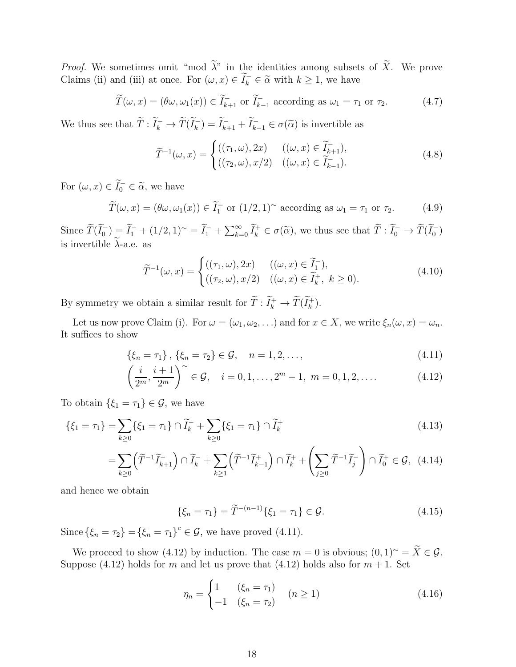*Proof.* We sometimes omit "mod  $\tilde{\lambda}$ " in the identities among subsets of  $\tilde{X}$ . We prove Claims (ii) and (iii) at once. For  $(\omega, x) \in \tilde{I}_k^- \in \tilde{\alpha}$  with  $k \ge 1$ , we have

$$
\widetilde{T}(\omega, x) = (\theta \omega, \omega_1(x)) \in \widetilde{I}_{k+1}^- \text{ or } \widetilde{I}_{k-1}^- \text{ according as } \omega_1 = \tau_1 \text{ or } \tau_2.
$$
\n(4.7)

We thus see that  $\tilde{T}: \tilde{I}_k^- \to \tilde{T}(\tilde{I}_k^-) = \tilde{I}_{k+1}^- + \tilde{I}_{k-1}^- \in \sigma(\tilde{\alpha})$  is invertible as

$$
\widetilde{T}^{-1}(\omega, x) = \begin{cases}\n((\tau_1, \omega), 2x) & ((\omega, x) \in \widetilde{I}_{k+1}), \\
((\tau_2, \omega), x/2) & ((\omega, x) \in \widetilde{I}_{k-1}).\n\end{cases}
$$
\n(4.8)

For  $(\omega, x) \in \widetilde{I}_0^- \in \widetilde{\alpha}$ , we have

$$
\widetilde{T}(\omega, x) = (\theta \omega, \omega_1(x)) \in \widetilde{I}_1^- \text{ or } (1/2, 1)^\sim \text{ according as } \omega_1 = \tau_1 \text{ or } \tau_2.
$$
 (4.9)

Since  $\widetilde{T}(\widetilde{I}_0^-) = \widetilde{I}_1^- + (1/2, 1)^\sim = \widetilde{I}_1^- + \sum_{k=0}^\infty \widetilde{I}_k^+ \in \sigma(\widetilde{\alpha})$ , we thus see that  $\widetilde{T} : \widetilde{I}_0^- \to \widetilde{T}(\widetilde{I}_0^-)$ is invertible  $\widetilde{\lambda}$ -a.e. as

$$
\widetilde{T}^{-1}(\omega, x) = \begin{cases}\n((\tau_1, \omega), 2x) & ((\omega, x) \in \widetilde{I}_1^-), \\
((\tau_2, \omega), x/2) & ((\omega, x) \in \widetilde{I}_k^+, k \ge 0).\n\end{cases}
$$
\n(4.10)

By symmetry we obtain a similar result for  $\tilde{T}: \tilde{I}_k^+ \to \tilde{T}(\tilde{I}_k^+).$ 

Let us now prove Claim (i). For  $\omega = (\omega_1, \omega_2, \ldots)$  and for  $x \in X$ , we write  $\xi_n(\omega, x) = \omega_n$ . It suffices to show

$$
\{\xi_n = \tau_1\}, \{\xi_n = \tau_2\} \in \mathcal{G}, \quad n = 1, 2, \dots,
$$
\n(4.11)

$$
\left(\frac{i}{2^m}, \frac{i+1}{2^m}\right)^{\sim} \in \mathcal{G}, \quad i = 0, 1, \dots, 2^m - 1, \ m = 0, 1, 2, \dots \tag{4.12}
$$

To obtain  $\{\xi_1 = \tau_1\} \in \mathcal{G}$ , we have

$$
\{\xi_1 = \tau_1\} = \sum_{k \ge 0} \{\xi_1 = \tau_1\} \cap \widetilde{I}_k^- + \sum_{k \ge 0} \{\xi_1 = \tau_1\} \cap \widetilde{I}_k^+ \tag{4.13}
$$

$$
=\sum_{k\geq 0} \left(\widetilde{T}^{-1}\widetilde{I}_{k+1}^-\right)\cap \widetilde{I}_k^- + \sum_{k\geq 1} \left(\widetilde{T}^{-1}\widetilde{I}_{k-1}^+\right)\cap \widetilde{I}_k^+ + \left(\sum_{j\geq 0} \widetilde{T}^{-1}\widetilde{I}_j^-\right)\cap \widetilde{I}_0^+ \in \mathcal{G},\tag{4.14}
$$

and hence we obtain

$$
\{\xi_n = \tau_1\} = \widetilde{T}^{-(n-1)}\{\xi_1 = \tau_1\} \in \mathcal{G}.
$$
\n(4.15)

Since  $\{\xi_n = \tau_2\} = {\{\xi_n = \tau_1\}}^c \in \mathcal{G}$ , we have proved (4.11).

We proceed to show (4.12) by induction. The case  $m = 0$  is obvious;  $(0, 1)^\sim = \tilde{X} \in \mathcal{G}$ . Suppose (4.12) holds for m and let us prove that (4.12) holds also for  $m + 1$ . Set

$$
\eta_n = \begin{cases} 1 & (\xi_n = \tau_1) \\ -1 & (\xi_n = \tau_2) \end{cases} \quad (n \ge 1)
$$
 (4.16)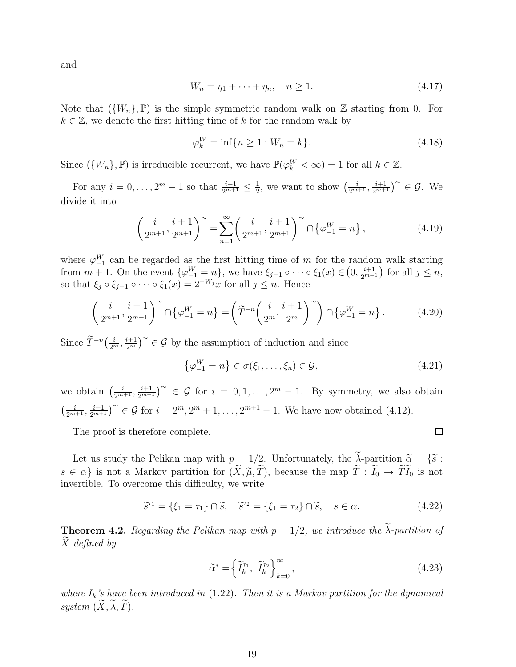and

$$
W_n = \eta_1 + \dots + \eta_n, \quad n \ge 1. \tag{4.17}
$$

Note that  $({W_n}, \mathbb{P})$  is the simple symmetric random walk on Z starting from 0. For  $k \in \mathbb{Z}$ , we denote the first hitting time of k for the random walk by

$$
\varphi_k^W = \inf \{ n \ge 1 : W_n = k \}. \tag{4.18}
$$

Since  $(\{W_n\}, \mathbb{P})$  is irreducible recurrent, we have  $\mathbb{P}(\varphi_k^W < \infty) = 1$  for all  $k \in \mathbb{Z}$ .

For any  $i = 0, ..., 2^m - 1$  so that  $\frac{i+1}{2^{m+1}} \leq \frac{1}{2}$  $\frac{1}{2}$ , we want to show  $\left(\frac{i}{2^{m+1}}, \frac{i+1}{2^{m+1}}\right)^{\sim} \in \mathcal{G}$ . We divide it into

$$
\left(\frac{i}{2^{m+1}}, \frac{i+1}{2^{m+1}}\right)^{\sim} = \sum_{n=1}^{\infty} \left(\frac{i}{2^{m+1}}, \frac{i+1}{2^{m+1}}\right)^{\sim} \cap \left\{\varphi_{-1}^{W} = n\right\},\tag{4.19}
$$

where  $\varphi_{-1}^W$  can be regarded as the first hitting time of m for the random walk starting from  $m + 1$ . On the event  $\{\varphi_{-1}^W = n\}$ , we have  $\xi_{j-1} \circ \cdots \circ \xi_1(x) \in (0, \frac{i+1}{2^{m+1}})$  for all  $j \leq n$ , so that  $\xi_j \circ \xi_{j-1} \circ \cdots \circ \xi_1(x) = 2^{-W_j}x$  for all  $j \leq n$ . Hence

$$
\left(\frac{i}{2^{m+1}}, \frac{i+1}{2^{m+1}}\right)^{\sim} \cap \left\{\varphi_{-1}^W = n\right\} = \left(\widetilde{T}^{-n}\left(\frac{i}{2^m}, \frac{i+1}{2^m}\right)^{\sim}\right) \cap \left\{\varphi_{-1}^W = n\right\}.
$$
 (4.20)

Since  $\widetilde{T}^{-n}(\frac{i}{2^m}, \frac{i+1}{2^m})^{\sim} \in \mathcal{G}$  by the assumption of induction and since

$$
\left\{\varphi_{-1}^W = n\right\} \in \sigma(\xi_1, \dots, \xi_n) \in \mathcal{G},\tag{4.21}
$$

we obtain  $\left(\frac{i}{2^{m+1}}, \frac{i+1}{2^{m+1}}\right)^{\sim} \in \mathcal{G}$  for  $i = 0, 1, ..., 2^m - 1$ . By symmetry, we also obtain  $\left(\frac{i}{2^{m+1}}, \frac{i+1}{2^{m+1}}\right)^{\sim} \in \mathcal{G}$  for  $i = 2^m, 2^m + 1, \ldots, 2^{m+1} - 1$ . We have now obtained (4.12).

The proof is therefore complete.

Let us study the Pelikan map with  $p = 1/2$ . Unfortunately, the  $\widetilde{\lambda}$ -partition  $\widetilde{\alpha} = {\widetilde{\delta}}$ :  $s \in \alpha$  is not a Markov partition for  $(\widetilde{X}, \widetilde{\mu}, \widetilde{T})$ , because the map  $\widetilde{T} : \widetilde{I}_0 \to \widetilde{T} \widetilde{I}_0$  is not invertible. To overcome this difficulty, we write

$$
\tilde{s}^{\tau_1} = \{\xi_1 = \tau_1\} \cap \tilde{s}, \quad \tilde{s}^{\tau_2} = \{\xi_1 = \tau_2\} \cap \tilde{s}, \quad s \in \alpha. \tag{4.22}
$$

**Theorem 4.2.** Regarding the Pelikan map with  $p = 1/2$ , we introduce the  $\tilde{\lambda}$ -partition of  $X$  defined by

$$
\widetilde{\alpha}^* = \left\{ \widetilde{I}_k^{\tau_1}, \ \widetilde{I}_k^{\tau_2} \right\}_{k=0}^{\infty},\tag{4.23}
$$

where  $I_k$ 's have been introduced in  $(1.22)$ . Then it is a Markov partition for the dynamical system  $(X, \lambda, \tilde{T})$ .

 $\Box$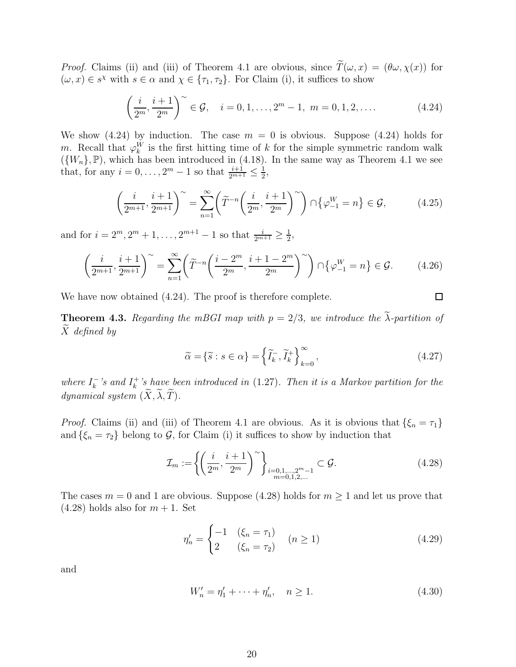*Proof.* Claims (ii) and (iii) of Theorem 4.1 are obvious, since  $\tilde{T}(\omega, x) = (\theta \omega, \chi(x))$  for  $(\omega, x) \in s^{\chi}$  with  $s \in \alpha$  and  $\chi \in \{\tau_1, \tau_2\}$ . For Claim (i), it suffices to show

$$
\left(\frac{i}{2^m}, \frac{i+1}{2^m}\right)^{\sim} \in \mathcal{G}, \quad i = 0, 1, \dots, 2^m - 1, \ m = 0, 1, 2, \dots \tag{4.24}
$$

We show  $(4.24)$  by induction. The case  $m = 0$  is obvious. Suppose  $(4.24)$  holds for m. Recall that  $\varphi_k^W$  is the first hitting time of k for the simple symmetric random walk  $({W_n}, \mathbb{P})$ , which has been introduced in (4.18). In the same way as Theorem 4.1 we see that, for any  $i = 0, ..., 2^m - 1$  so that  $\frac{i+1}{2^{m+1}} \leq \frac{1}{2}$  $\frac{1}{2}$ ,

$$
\left(\frac{i}{2^{m+1}}, \frac{i+1}{2^{m+1}}\right)^{\sim} = \sum_{n=1}^{\infty} \left(\widetilde{T}^{-n}\left(\frac{i}{2^m}, \frac{i+1}{2^m}\right)^{\sim}\right) \cap \{\varphi_{-1}^W = n\} \in \mathcal{G},\tag{4.25}
$$

and for  $i = 2^m, 2^m + 1, \ldots, 2^{m+1} - 1$  so that  $\frac{i}{2^{m+1}} \ge \frac{1}{2}$  $\frac{1}{2}$ 

$$
\left(\frac{i}{2^{m+1}}, \frac{i+1}{2^{m+1}}\right)^{\sim} = \sum_{n=1}^{\infty} \left(\widetilde{T}^{-n}\left(\frac{i-2^m}{2^m}, \frac{i+1-2^m}{2^m}\right)^{\sim}\right) \cap \{\varphi_{-1}^W = n\} \in \mathcal{G}.
$$
 (4.26)

We have now obtained  $(4.24)$ . The proof is therefore complete.

**Theorem 4.3.** Regarding the mBGI map with  $p = 2/3$ , we introduce the  $\tilde{\lambda}$ -partition of  $\overline{X}$  defined by

$$
\widetilde{\alpha} = \{ \widetilde{s} : s \in \alpha \} = \left\{ \widetilde{I}_k^-, \widetilde{I}_k^+ \right\}_{k=0}^\infty, \tag{4.27}
$$

 $\Box$ 

where  $I_k^ \frac{k}{k}$ 's and  $I_k^+$  $\kappa^{+}$ 's have been introduced in (1.27). Then it is a Markov partition for the dynamical system  $(\widetilde{X}, \widetilde{\lambda}, \widetilde{T})$ .

*Proof.* Claims (ii) and (iii) of Theorem 4.1 are obvious. As it is obvious that  $\{\xi_n = \tau_1\}$ and  $\{\xi_n = \tau_2\}$  belong to G, for Claim (i) it suffices to show by induction that

$$
\mathcal{I}_m := \left\{ \left( \frac{i}{2^m}, \frac{i+1}{2^m} \right)^{\sim} \right\}_{\substack{i=0,1,\dots,2^m-1 \\ m=0,1,2,\dots}} \subset \mathcal{G}.
$$
\n(4.28)

The cases  $m = 0$  and 1 are obvious. Suppose (4.28) holds for  $m \ge 1$  and let us prove that  $(4.28)$  holds also for  $m + 1$ . Set

$$
\eta'_n = \begin{cases}\n-1 & (\xi_n = \tau_1) \\
2 & (\xi_n = \tau_2)\n\end{cases} \quad (n \ge 1)
$$
\n(4.29)

and

$$
W'_n = \eta'_1 + \dots + \eta'_n, \quad n \ge 1.
$$
 (4.30)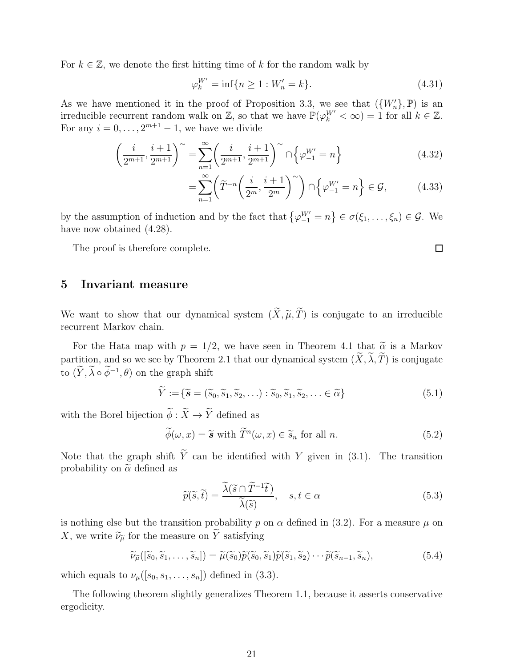For  $k \in \mathbb{Z}$ , we denote the first hitting time of k for the random walk by

$$
\varphi_k^{W'} = \inf \{ n \ge 1 : W'_n = k \}. \tag{4.31}
$$

As we have mentioned it in the proof of Proposition 3.3, we see that  $({W'_n},\mathbb{P})$  is an irreducible recurrent random walk on  $\mathbb{Z}$ , so that we have  $\mathbb{P}(\varphi_k^{W'} < \infty) = 1$  for all  $k \in \mathbb{Z}$ . For any  $i = 0, \ldots, 2^{m+1} - 1$ , we have we divide

$$
\left(\frac{i}{2^{m+1}}, \frac{i+1}{2^{m+1}}\right)^{\sim} = \sum_{n=1}^{\infty} \left(\frac{i}{2^{m+1}}, \frac{i+1}{2^{m+1}}\right)^{\sim} \cap \left\{\varphi_{-1}^{W'} = n\right\}
$$
\n(4.32)

$$
=\sum_{n=1}^{\infty} \left(\widetilde{T}^{-n}\left(\frac{i}{2^m}, \frac{i+1}{2^m}\right)^{\sim}\right) \cap \left\{\varphi_{-1}^{W'}=n\right\} \in \mathcal{G},\tag{4.33}
$$

by the assumption of induction and by the fact that  $\{\varphi_{-1}^{W'}=n\} \in \sigma(\xi_1,\ldots,\xi_n) \in \mathcal{G}$ . We have now obtained  $(4.28)$ .

The proof is therefore complete.

## 5 Invariant measure

We want to show that our dynamical system  $(\widetilde{X}, \widetilde{\mu}, \widetilde{T})$  is conjugate to an irreducible recurrent Markov chain.

For the Hata map with  $p = 1/2$ , we have seen in Theorem 4.1 that  $\tilde{\alpha}$  is a Markov partition, and so we see by Theorem 2.1 that our dynamical system  $(\widetilde{X}, \widetilde{\lambda}, \widetilde{T})$  is conjugate to  $(\overline{Y}, \overline{\lambda} \circ \phi^{-1}, \theta)$  on the graph shift

$$
\widetilde{Y} := \{ \widetilde{\mathbf{s}} = (\widetilde{s}_0, \widetilde{s}_1, \widetilde{s}_2, \ldots) : \widetilde{s}_0, \widetilde{s}_1, \widetilde{s}_2, \ldots \in \widetilde{\alpha} \}
$$
\n
$$
(5.1)
$$

with the Borel bijection  $\widetilde{\phi}: \widetilde{X}\rightarrow \widetilde{Y}$  defined as

$$
\widetilde{\phi}(\omega, x) = \widetilde{\mathbf{s}} \text{ with } \widetilde{T}^n(\omega, x) \in \widetilde{s}_n \text{ for all } n. \tag{5.2}
$$

Note that the graph shift  $\widetilde{Y}$  can be identified with Y given in (3.1). The transition probability on  $\tilde{\alpha}$  defined as

$$
\widetilde{p}(\widetilde{s},\widetilde{t}) = \frac{\widetilde{\lambda}(\widetilde{s} \cap \widetilde{T}^{-1}\widetilde{t})}{\widetilde{\lambda}(\widetilde{s})}, \quad s, t \in \alpha
$$
\n(5.3)

is nothing else but the transition probability p on  $\alpha$  defined in (3.2). For a measure  $\mu$  on X, we write  $\widetilde{\nu}_{\widetilde{\mu}}$  for the measure on  $\widetilde{Y}$  satisfying

$$
\widetilde{\nu}_{\widetilde{\mu}}([\widetilde{s}_0, \widetilde{s}_1, \dots, \widetilde{s}_n]) = \widetilde{\mu}(\widetilde{s}_0)\widetilde{p}(\widetilde{s}_0, \widetilde{s}_1)\widetilde{p}(\widetilde{s}_1, \widetilde{s}_2) \cdots \widetilde{p}(\widetilde{s}_{n-1}, \widetilde{s}_n),
$$
\n(5.4)

which equals to  $\nu_{\mu}([s_0, s_1, \ldots, s_n])$  defined in (3.3).

The following theorem slightly generalizes Theorem 1.1, because it asserts conservative ergodicity.

 $\Box$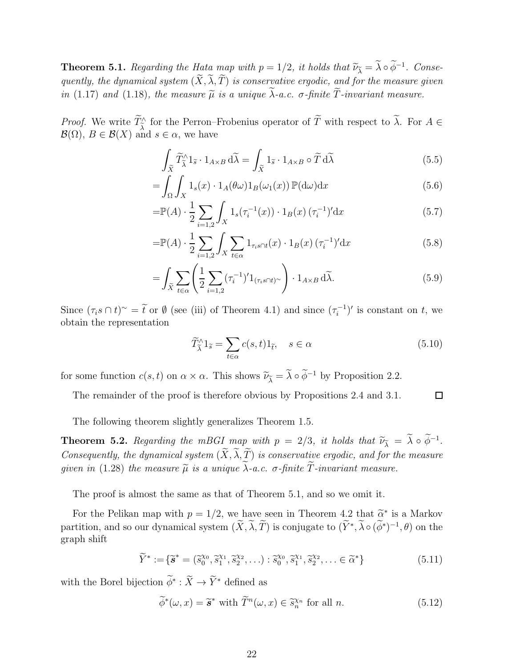**Theorem 5.1.** Regarding the Hata map with  $p = 1/2$ , it holds that  $\widetilde{\nu}_{\widetilde{\lambda}} = \lambda \circ \phi^{-1}$ . Consequently, the dynamical system  $(\widetilde{X}, \widetilde{\lambda}, \widetilde{T})$  is conservative ergodic, and for the measure given in (1.17) and (1.18), the measure  $\tilde{\mu}$  is a unique  $\lambda$ -a.c.  $\sigma$ -finite T-invariant measure.

*Proof.* We write  $T^{\wedge}_{\lambda}$  for the Perron–Frobenius operator of T with respect to  $\lambda$ . For  $A \in \mathcal{L}(\mathbb{R})$  $\mathcal{B}(\Omega), B \in \mathcal{B}(X)$  and  $s \in \alpha$ , we have

$$
\int_{\tilde{X}} \tilde{T}_{\tilde{\lambda}}^{\wedge} 1_{\tilde{s}} \cdot 1_{A \times B} \, d\tilde{\lambda} = \int_{\tilde{X}} 1_{\tilde{s}} \cdot 1_{A \times B} \circ \tilde{T} \, d\tilde{\lambda} \tag{5.5}
$$

$$
= \int_{\Omega} \int_{X} 1_s(x) \cdot 1_A(\theta \omega) 1_B(\omega_1(x)) \mathbb{P}(\mathrm{d}\omega) \mathrm{d}x \tag{5.6}
$$

$$
= \mathbb{P}(A) \cdot \frac{1}{2} \sum_{i=1,2} \int_{X} 1_s(\tau_i^{-1}(x)) \cdot 1_B(x) \, (\tau_i^{-1})' \mathrm{d}x \tag{5.7}
$$

$$
=\mathbb{P}(A) \cdot \frac{1}{2} \sum_{i=1,2} \int_X \sum_{t \in \alpha} 1_{\tau_i s \cap t}(x) \cdot 1_B(x) \left(\tau_i^{-1}\right)' \mathrm{d}x \tag{5.8}
$$

$$
= \int_{\widetilde{X}} \sum_{t \in \alpha} \left( \frac{1}{2} \sum_{i=1,2} (\tau_i^{-1})' 1_{(\tau_i s \cap t)^\sim} \right) \cdot 1_{A \times B} \, d\widetilde{\lambda}.
$$
 (5.9)

Since  $(\tau_i s \cap t)^\sim = \tilde{t}$  or  $\emptyset$  (see (iii) of Theorem 4.1) and since  $(\tau_i^{-1})$  $(t_i^{-1})'$  is constant on t, we obtain the representation

$$
\widetilde{T}_{\widetilde{\lambda}}^{\wedge} 1_{\widetilde{s}} = \sum_{t \in \alpha} c(s, t) 1_{\widetilde{t}}, \quad s \in \alpha \tag{5.10}
$$

for some function  $c(s, t)$  on  $\alpha \times \alpha$ . This shows  $\widetilde{\nu}_{\widetilde{\lambda}} = \widetilde{\lambda} \circ \widetilde{\phi}^{-1}$  by Proposition 2.2.

The remainder of the proof is therefore obvious by Propositions 2.4 and 3.1.  $\Box$ 

The following theorem slightly generalizes Theorem 1.5.

**Theorem 5.2.** Regarding the mBGI map with  $p = 2/3$ , it holds that  $\widetilde{\nu}_{\widetilde{\lambda}} = \lambda \circ \widetilde{\phi}^{-1}$ . Consequently, the dynamical system  $(\widetilde{X}, \widetilde{\lambda}, \widetilde{T})$  is conservative ergodic, and for the measure given in (1.28) the measure  $\tilde{\mu}$  is a unique  $\lambda$ -a.c.  $\sigma$ -finite T-invariant measure.

The proof is almost the same as that of Theorem 5.1, and so we omit it.

For the Pelikan map with  $p = 1/2$ , we have seen in Theorem 4.2 that  $\tilde{\alpha}^*$  is a Markov partition, and so our dynamical system  $(X, \lambda, T)$  is conjugate to  $(Y^*, \lambda \circ (\phi^*)^{-1}, \theta)$  on the graph shift

$$
\widetilde{Y}^* := \{ \widetilde{\mathbf{s}}^* = (\widetilde{s}_0^{\chi_0}, \widetilde{s}_1^{\chi_1}, \widetilde{s}_2^{\chi_2}, \ldots) : \widetilde{s}_0^{\chi_0}, \widetilde{s}_1^{\chi_1}, \widetilde{s}_2^{\chi_2}, \ldots \in \widetilde{\alpha}^* \}
$$
\n
$$
(5.11)
$$

with the Borel bijection  $\phi^* : \overline{X} \to \overline{Y}^*$  defined as

$$
\widetilde{\phi}^*(\omega, x) = \widetilde{\mathbf{s}}^* \text{ with } \widetilde{T}^n(\omega, x) \in \widetilde{s}_n^{\chi_n} \text{ for all } n. \tag{5.12}
$$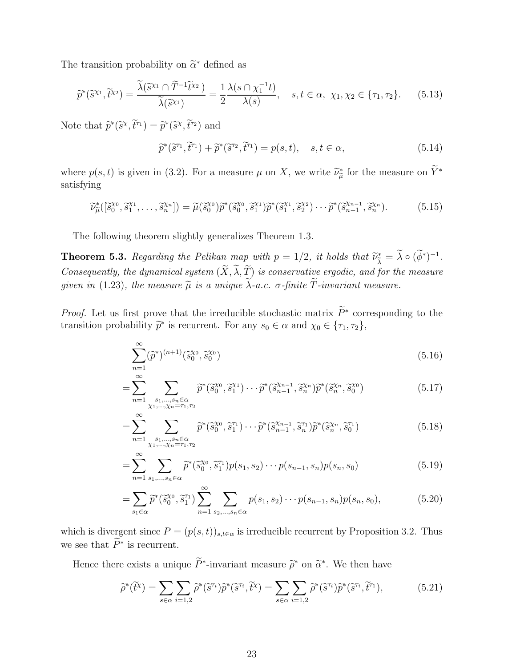The transition probability on  $\tilde{\alpha}^*$  defined as

$$
\widetilde{p}^*(\widetilde{s}^{\chi_1}, \widetilde{t}^{\chi_2}) = \frac{\widetilde{\lambda}(\widetilde{s}^{\chi_1} \cap \widetilde{T}^{-1} \widetilde{t}^{\chi_2})}{\widetilde{\lambda}(\widetilde{s}^{\chi_1})} = \frac{1}{2} \frac{\lambda(s \cap \chi_1^{-1}t)}{\lambda(s)}, \quad s, t \in \alpha, \ \chi_1, \chi_2 \in \{\tau_1, \tau_2\}. \tag{5.13}
$$

Note that  $\widetilde{p}^*(\widetilde{s}^{\chi}, \widetilde{t}^{\tau_1}) = \widetilde{p}^*(\widetilde{s}^{\chi}, \widetilde{t}^{\tau_2})$  and

$$
\widetilde{p}^*(\widetilde{s}^{\tau_1}, \widetilde{t}^{\tau_1}) + \widetilde{p}^*(\widetilde{s}^{\tau_2}, \widetilde{t}^{\tau_1}) = p(s, t), \quad s, t \in \alpha,
$$
\n(5.14)

where  $p(s,t)$  is given in (3.2). For a measure  $\mu$  on X, we write  $\tilde{\nu}_{\mu}^{*}$  for the measure on  $\tilde{Y}^{*}$ satisfying

$$
\widetilde{\nu}_{\widetilde{\mu}}^*([\widetilde{s}_0^{\chi_0}, \widetilde{s}_1^{\chi_1}, \dots, \widetilde{s}_n^{\chi_n}]) = \widetilde{\mu}(\widetilde{s}_0^{\chi_0}) \widetilde{p}^*(\widetilde{s}_0^{\chi_0}, \widetilde{s}_1^{\chi_1}) \widetilde{p}^*(\widetilde{s}_1^{\chi_1}, \widetilde{s}_2^{\chi_2}) \cdots \widetilde{p}^*(\widetilde{s}_{n-1}^{\chi_{n-1}}, \widetilde{s}_n^{\chi_n}).
$$
\n(5.15)

The following theorem slightly generalizes Theorem 1.3.

**Theorem 5.3.** Regarding the Pelikan map with  $p = 1/2$ , it holds that  $\widetilde{\nu}_{\widetilde{\lambda}}^* = \lambda \circ (\phi^*)^{-1}$ . Consequently, the dynamical system  $(\widetilde{X}, \widetilde{\lambda}, \widetilde{T})$  is conservative ergodic, and for the measure given in (1.23), the measure  $\tilde{\mu}$  is a unique  $\tilde{\lambda}$ -a.c.  $\sigma$ -finite  $\tilde{T}$ -invariant measure.

*Proof.* Let us first prove that the irreducible stochastic matrix  $\overline{P}^*$  corresponding to the transition probability  $\tilde{p}^*$  is recurrent. For any  $s_0 \in \alpha$  and  $\chi_0 \in {\tau_1, \tau_2}$ ,

$$
\sum_{n=1}^{\infty} (\tilde{p}^*)^{(n+1)} (\tilde{s}_0^{\chi_0}, \tilde{s}_0^{\chi_0})
$$
\n(5.16)

$$
=\sum_{n=1}^{\infty}\sum_{\substack{s_1,\ldots,s_n\in\alpha\\ \chi_1,\ldots,\chi_n=\tau_1,\tau_2}} \widetilde{p}^*(\widetilde{s}_0^{\chi_0},\widetilde{s}_1^{\chi_1})\cdots\widetilde{p}^*(\widetilde{s}_{n-1}^{\chi_{n-1}},\widetilde{s}_n^{\chi_n})\widetilde{p}^*(\widetilde{s}_n^{\chi_n},\widetilde{s}_0^{\chi_0})
$$
(5.17)

$$
=\sum_{n=1}^{\infty}\sum_{\substack{s_1,\ldots,s_n\in\alpha\\ \chi_1,\ldots,\chi_n=\tau_1,\tau_2}} \tilde{p}^*(\tilde{s}_0^{\chi_0},\tilde{s}_1^{\tau_1})\cdots\tilde{p}^*(\tilde{s}_{n-1}^{\chi_{n-1}},\tilde{s}_n^{\tau_1})\tilde{p}^*(\tilde{s}_n^{\chi_n},\tilde{s}_0^{\tau_1})
$$
\n(5.18)

$$
= \sum_{n=1}^{\infty} \sum_{s_1, \dots, s_n \in \alpha} \widetilde{p}^*(\widetilde{s}_0^{x_0}, \widetilde{s}_1^{r_1}) p(s_1, s_2) \cdots p(s_{n-1}, s_n) p(s_n, s_0)
$$
(5.19)

$$
= \sum_{s_1 \in \alpha} \widetilde{p}^*(\widetilde{s}_0^{x_0}, \widetilde{s}_1^{r_1}) \sum_{n=1}^{\infty} \sum_{s_2, \dots, s_n \in \alpha} p(s_1, s_2) \cdots p(s_{n-1}, s_n) p(s_n, s_0), \tag{5.20}
$$

which is divergent since  $P = (p(s,t))_{s,t \in \alpha}$  is irreducible recurrent by Proposition 3.2. Thus we see that  $\widetilde{P}^*$  is recurrent.

Hence there exists a unique  $\tilde{P}^*$ -invariant measure  $\tilde{\rho}^*$  on  $\tilde{\alpha}^*$ . We then have

$$
\widetilde{\rho}^*(\widetilde{t}^{\chi}) = \sum_{s \in \alpha} \sum_{i=1,2} \widetilde{\rho}^*(\widetilde{s}^{\tau_i}) \widetilde{p}^*(\widetilde{s}^{\tau_i}, \widetilde{t}^{\chi}) = \sum_{s \in \alpha} \sum_{i=1,2} \widetilde{\rho}^*(\widetilde{s}^{\tau_i}) \widetilde{p}^*(\widetilde{s}^{\tau_i}, \widetilde{t}^{\tau_1}), \tag{5.21}
$$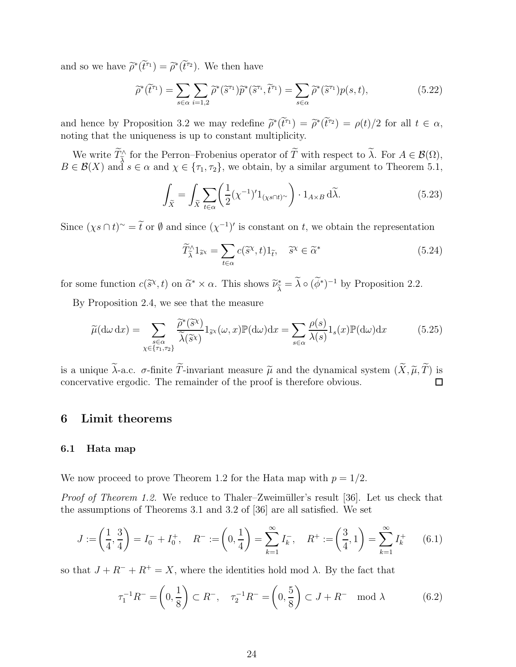and so we have  $\tilde{\rho}^*(\tilde{t}^{\tau_1}) = \tilde{\rho}^*(\tilde{t}^{\tau_2})$ . We then have

$$
\widetilde{\rho}^*(\widetilde{t}^{\tau_1}) = \sum_{s \in \alpha} \sum_{i=1,2} \widetilde{\rho}^*(\widetilde{s}^{\tau_1}) \widetilde{p}^*(\widetilde{s}^{\tau_i}, \widetilde{t}^{\tau_1}) = \sum_{s \in \alpha} \widetilde{\rho}^*(\widetilde{s}^{\tau_1}) p(s,t),\tag{5.22}
$$

and hence by Proposition 3.2 we may redefine  $\tilde{\rho}^*(\tilde{t}^{\tau_1}) = \tilde{\rho}^*(\tilde{t}^{\tau_2}) = \rho(t)/2$  for all  $t \in \alpha$ , noting that the uniqueness is up to constant multiplicity.

We write  $\widetilde{T}_{\widetilde{\lambda}}^{\wedge}$  for the Perron–Frobenius operator of  $\widetilde{T}$  with respect to  $\lambda$ . For  $A \in \mathcal{B}(\Omega)$ ,  $B \in \mathcal{B}(X)$  and  $s \in \alpha$  and  $\chi \in \{\tau_1, \tau_2\}$ , we obtain, by a similar argument to Theorem 5.1,

$$
\int_{\tilde{X}} = \int_{\tilde{X}} \sum_{t \in \alpha} \left( \frac{1}{2} (\chi^{-1})' 1_{(\chi s \cap t)^{\sim}} \right) \cdot 1_{A \times B} \, d\tilde{\lambda}.
$$
\n(5.23)

Since  $(\chi s \cap t)$ <sup>~</sup> =  $\tilde{t}$  or  $\emptyset$  and since  $(\chi^{-1})'$  is constant on t, we obtain the representation

$$
\widetilde{T}_{\widetilde{\lambda}}^{\wedge} 1_{\widetilde{s}^{\chi}} = \sum_{t \in \alpha} c(\widetilde{s}^{\chi}, t) 1_{\widetilde{t}}, \quad \widetilde{s}^{\chi} \in \widetilde{\alpha}^* \tag{5.24}
$$

for some function  $c(\tilde{s}^{\chi}, t)$  on  $\tilde{\alpha}^* \times \alpha$ . This shows  $\tilde{\nu}_{\tilde{\lambda}}^* = \lambda \circ (\phi^*)^{-1}$  by Proposition 2.2.

By Proposition 2.4, we see that the measure

$$
\widetilde{\mu}(\mathrm{d}\omega \,\mathrm{d}x) = \sum_{\substack{s \in \alpha \\ \chi \in \{\tau_1, \tau_2\}}} \frac{\widetilde{\rho}^*(\widetilde{s}^{\chi})}{\widetilde{\lambda}(\widetilde{s}^{\chi})} 1_{\widetilde{s}^{\chi}}(\omega, x) \mathbb{P}(\mathrm{d}\omega) \mathrm{d}x = \sum_{s \in \alpha} \frac{\rho(s)}{\lambda(s)} 1_s(x) \mathbb{P}(\mathrm{d}\omega) \mathrm{d}x \tag{5.25}
$$

is a unique  $\widetilde{\lambda}$ -a.c.  $\sigma$ -finite  $\widetilde{T}$ -invariant measure  $\widetilde{\mu}$  and the dynamical system  $(\widetilde{X}, \widetilde{\mu}, \widetilde{T})$  is concervative ergodic. The remainder of the proof is therefore obvious. concervative ergodic. The remainder of the proof is therefore obvious.

## 6 Limit theorems

#### 6.1 Hata map

We now proceed to prove Theorem 1.2 for the Hata map with  $p = 1/2$ .

Proof of Theorem 1.2. We reduce to Thaler–Zweimüller's result [36]. Let us check that the assumptions of Theorems 3.1 and 3.2 of [36] are all satisfied. We set

$$
J := \left(\frac{1}{4}, \frac{3}{4}\right) = I_0^- + I_0^+, \quad R^- := \left(0, \frac{1}{4}\right) = \sum_{k=1}^{\infty} I_k^-, \quad R^+ := \left(\frac{3}{4}, 1\right) = \sum_{k=1}^{\infty} I_k^+ \tag{6.1}
$$

so that  $J + R^- + R^+ = X$ , where the identities hold mod  $\lambda$ . By the fact that

$$
\tau_1^{-1}R^- = \left(0, \frac{1}{8}\right) \subset R^-, \quad \tau_2^{-1}R^- = \left(0, \frac{5}{8}\right) \subset J + R^- \mod \lambda \tag{6.2}
$$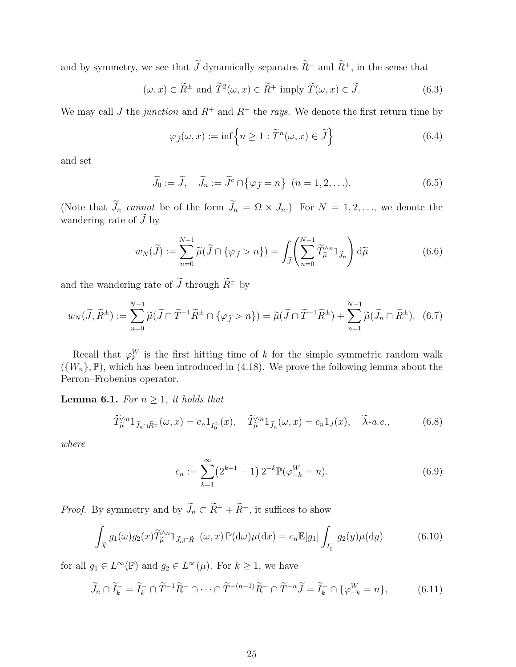and by symmetry, we see that  $\widetilde{J}$  dynamically separates  $\widetilde{R}^-$  and  $\widetilde{R}^+$ , in the sense that

$$
(\omega, x) \in \widetilde{R}^{\pm}
$$
 and  $\widetilde{T}^2(\omega, x) \in \widetilde{R}^{\mp}$  imply  $\widetilde{T}(\omega, x) \in \widetilde{J}$ . (6.3)

We may call J the junction and  $R^+$  and  $R^-$  the rays. We denote the first return time by

$$
\varphi_{\widetilde{J}}(\omega, x) := \inf \left\{ n \ge 1 : \widetilde{T}^n(\omega, x) \in \widetilde{J} \right\} \tag{6.4}
$$

and set

$$
\widetilde{J}_0 := \widetilde{J}, \quad \widetilde{J}_n := \widetilde{J}^c \cap \{ \varphi_{\widetilde{J}} = n \} \quad (n = 1, 2, \ldots). \tag{6.5}
$$

(Note that  $\tilde{J}_n$  cannot be of the form  $\tilde{J}_n = \Omega \times J_n$ .) For  $N = 1, 2, \ldots$ , we denote the wandering rate of  $\widetilde{J}$  by

$$
w_N(\widetilde{J}) := \sum_{n=0}^{N-1} \widetilde{\mu}(\widetilde{J} \cap \{\varphi_{\widetilde{J}} > n\}) = \int_{\widetilde{J}} \left( \sum_{n=0}^{N-1} \widetilde{T}_{\widetilde{\mu}}^{\wedge n} 1_{\widetilde{J}_n} \right) d\widetilde{\mu}
$$
(6.6)

and the wandering rate of  $\widetilde{J}$  through  $\widetilde{R}^{\pm}$  by

$$
w_N(\widetilde{J}, \widetilde{R}^{\pm}) := \sum_{n=0}^{N-1} \widetilde{\mu}(\widetilde{J} \cap \widetilde{T}^{-1}\widetilde{R}^{\pm} \cap \{\varphi_{\widetilde{J}} > n\}) = \widetilde{\mu}(\widetilde{J} \cap \widetilde{T}^{-1}\widetilde{R}^{\pm}) + \sum_{n=1}^{N-1} \widetilde{\mu}(\widetilde{J}_n \cap \widetilde{R}^{\pm}). \tag{6.7}
$$

Recall that  $\varphi_k^W$  is the first hitting time of k for the simple symmetric random walk  $({W_n}, \mathbb{P})$ , which has been introduced in (4.18). We prove the following lemma about the Perron–Frobenius operator.

**Lemma 6.1.** For  $n \geq 1$ , it holds that

$$
\widetilde{T}_{\widetilde{\mu}}^{\wedge n}1_{\widetilde{J}_n \cap \widetilde{R}^{\pm}}(\omega, x) = c_n 1_{I_0^{\pm}}(x), \quad \widetilde{T}_{\widetilde{\mu}}^{\wedge n}1_{\widetilde{J}_n}(\omega, x) = c_n 1_J(x), \quad \widetilde{\lambda} \text{-} a.e., \tag{6.8}
$$

where

$$
c_n := \sum_{k=1}^{\infty} \left( 2^{k+1} - 1 \right) 2^{-k} \mathbb{P}(\varphi_{-k}^W = n).
$$
 (6.9)

*Proof.* By symmetry and by  $\widetilde{J}_n \subset \widetilde{R}^+ + \widetilde{R}^-$ , it suffices to show

$$
\int_{\tilde{X}} g_1(\omega) g_2(x) \tilde{T}_{\tilde{\mu}}^{\wedge n} 1_{\tilde{J}_n \cap \tilde{R}^-}(\omega, x) \mathbb{P}(\mathrm{d}\omega) \mu(\mathrm{d}x) = c_n \mathbb{E}[g_1] \int_{I_0^-} g_2(y) \mu(\mathrm{d}y) \tag{6.10}
$$

for all  $g_1 \in L^{\infty}(\mathbb{P})$  and  $g_2 \in L^{\infty}(\mu)$ . For  $k \geq 1$ , we have

$$
\widetilde{J}_n \cap \widetilde{I}_k^- = \widetilde{I}_k^- \cap \widetilde{T}^{-1} \widetilde{R}^- \cap \cdots \cap \widetilde{T}^{-(n-1)} \widetilde{R}^- \cap \widetilde{T}^{-n} \widetilde{J} = \widetilde{I}_k^- \cap \{ \varphi_{-k}^W = n \},\tag{6.11}
$$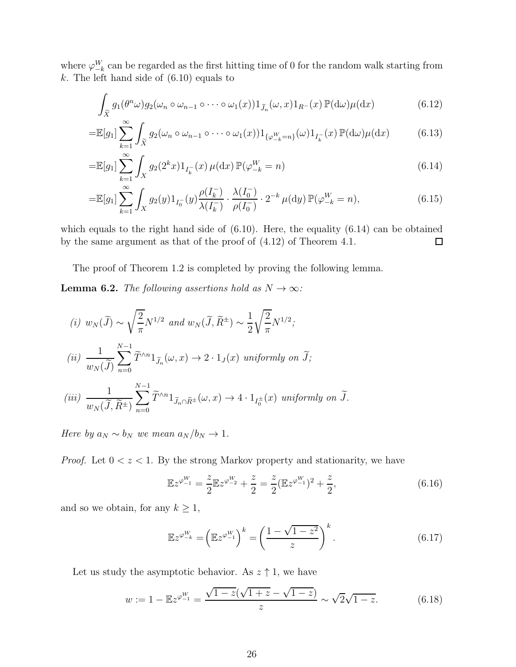where  $\varphi_{-k}^W$  can be regarded as the first hitting time of 0 for the random walk starting from  $k$ . The left hand side of  $(6.10)$  equals to

$$
\int_{\tilde{X}} g_1(\theta^n \omega) g_2(\omega_n \circ \omega_{n-1} \circ \cdots \circ \omega_1(x)) 1_{\tilde{J}_n}(\omega, x) 1_{R^-}(x) \mathbb{P}(\mathrm{d}\omega) \mu(\mathrm{d}x) \tag{6.12}
$$

$$
=\mathbb{E}[g_1] \sum_{k=1}^{\infty} \int_{\tilde{X}} g_2(\omega_n \circ \omega_{n-1} \circ \cdots \circ \omega_1(x)) 1_{\{\varphi_{-k}^W = n\}}(\omega) 1_{I_k^-(x)} \mathbb{P}(\mathrm{d}\omega) \mu(\mathrm{d}x) \tag{6.13}
$$

$$
= \mathbb{E}[g_1] \sum_{k=1}^{\infty} \int_X g_2(2^k x) 1_{I_k^-(x)} \mu(\mathrm{d}x) \mathbb{P}(\varphi_{-k}^W = n)
$$
(6.14)

$$
= \mathbb{E}[g_1] \sum_{k=1}^{\infty} \int_X g_2(y) 1_{I_0^{-}}(y) \frac{\rho(I_k^{-})}{\lambda(I_k^{-})} \cdot \frac{\lambda(I_0^{-})}{\rho(I_0^{-})} \cdot 2^{-k} \mu(\mathrm{d}y) \, \mathbb{P}(\varphi_{-k}^W = n), \tag{6.15}
$$

which equals to the right hand side of  $(6.10)$ . Here, the equality  $(6.14)$  can be obtained by the same argument as that of the proof of (4.12) of Theorem 4.1.  $\Box$ 

The proof of Theorem 1.2 is completed by proving the following lemma.

**Lemma 6.2.** The following assertions hold as  $N \to \infty$ :

(i) 
$$
w_N(\widetilde{J}) \sim \sqrt{\frac{2}{\pi}} N^{1/2}
$$
 and  $w_N(\widetilde{J}, \widetilde{R}^{\pm}) \sim \frac{1}{2} \sqrt{\frac{2}{\pi}} N^{1/2}$ ;  
\n(ii)  $\frac{1}{w_N(\widetilde{J})} \sum_{n=0}^{N-1} \widetilde{T}^{\wedge n} 1_{\widetilde{J}_n}(\omega, x) \to 2 \cdot 1_J(x)$  uniformly on  $\widetilde{J}$ ;  
\n(iii)  $\frac{1}{w_N(\widetilde{J}, \widetilde{R}^{\pm})} \sum_{n=0}^{N-1} \widetilde{T}^{\wedge n} 1_{\widetilde{J}_n \cap \widetilde{R}^{\pm}}(\omega, x) \to 4 \cdot 1_{I_0^{\pm}}(x)$  uniformly on  $\widetilde{J}$ .

Here by  $a_N \sim b_N$  we mean  $a_N/b_N \to 1$ .

*Proof.* Let  $0 < z < 1$ . By the strong Markov property and stationarity, we have

$$
\mathbb{E}z^{\varphi_{-1}^{W}} = \frac{z}{2}\mathbb{E}z^{\varphi_{-2}^{W}} + \frac{z}{2} = \frac{z}{2}(\mathbb{E}z^{\varphi_{-1}^{W}})^{2} + \frac{z}{2},
$$
\n(6.16)

and so we obtain, for any  $k \geq 1$ ,

$$
\mathbb{E}z^{\varphi_{-k}^{W}} = \left(\mathbb{E}z^{\varphi_{-1}^{W}}\right)^{k} = \left(\frac{1-\sqrt{1-z^{2}}}{z}\right)^{k}.
$$
\n(6.17)

Let us study the asymptotic behavior. As  $z \uparrow 1$ , we have

$$
w := 1 - \mathbb{E}z^{\varphi_{-1}^W} = \frac{\sqrt{1 - z}(\sqrt{1 + z} - \sqrt{1 - z})}{z} \sim \sqrt{2}\sqrt{1 - z}.
$$
 (6.18)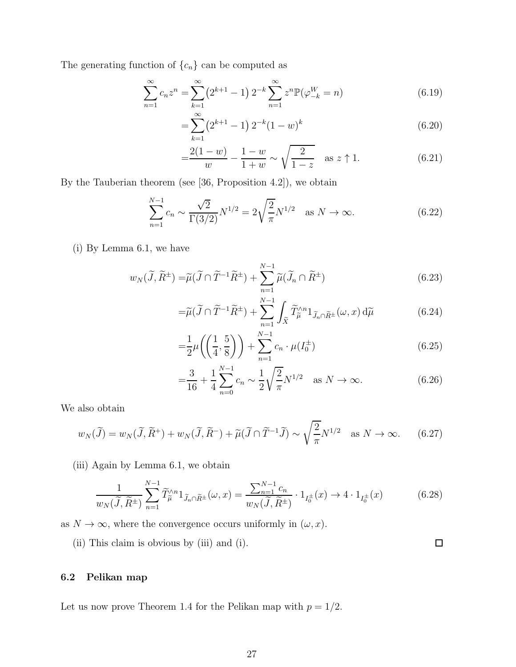The generating function of  $\{c_n\}$  can be computed as

$$
\sum_{n=1}^{\infty} c_n z^n = \sum_{k=1}^{\infty} \left( 2^{k+1} - 1 \right) 2^{-k} \sum_{n=1}^{\infty} z^n \mathbb{P}(\varphi_{-k}^W = n)
$$
(6.19)

$$
= \sum_{k=1}^{\infty} \left( 2^{k+1} - 1 \right) 2^{-k} (1 - w)^k \tag{6.20}
$$

$$
=\frac{2(1-w)}{w} - \frac{1-w}{1+w} \sim \sqrt{\frac{2}{1-z}} \quad \text{as } z \uparrow 1.
$$
 (6.21)

By the Tauberian theorem (see [36, Proposition 4.2]), we obtain

$$
\sum_{n=1}^{N-1} c_n \sim \frac{\sqrt{2}}{\Gamma(3/2)} N^{1/2} = 2\sqrt{\frac{2}{\pi}} N^{1/2} \quad \text{as } N \to \infty.
$$
 (6.22)

(i) By Lemma 6.1, we have

$$
w_N(\widetilde{J}, \widetilde{R}^{\pm}) = \widetilde{\mu}(\widetilde{J} \cap \widetilde{T}^{-1}\widetilde{R}^{\pm}) + \sum_{n=1}^{N-1} \widetilde{\mu}(\widetilde{J}_n \cap \widetilde{R}^{\pm})
$$
(6.23)

$$
= \widetilde{\mu}(\widetilde{J} \cap \widetilde{T}^{-1}\widetilde{R}^{\pm}) + \sum_{n=1}^{N-1} \int_{\widetilde{X}} \widetilde{T}_{\widetilde{\mu}}^{\wedge n} 1_{\widetilde{J}_n \cap \widetilde{R}^{\pm}}(\omega, x) d\widetilde{\mu}
$$
(6.24)

$$
=\frac{1}{2}\mu\left(\left(\frac{1}{4},\frac{5}{8}\right)\right)+\sum_{n=1}^{N-1}c_n\cdot\mu(I_0^{\pm})
$$
\n(6.25)

$$
=\frac{3}{16} + \frac{1}{4} \sum_{n=0}^{N-1} c_n \sim \frac{1}{2} \sqrt{\frac{2}{\pi}} N^{1/2} \quad \text{as } N \to \infty.
$$
 (6.26)

We also obtain

$$
w_N(\widetilde{J}) = w_N(\widetilde{J}, \widetilde{R}^+) + w_N(\widetilde{J}, \widetilde{R}^-) + \widetilde{\mu}(\widetilde{J} \cap \widetilde{T}^{-1}\widetilde{J}) \sim \sqrt{\frac{2}{\pi}} N^{1/2} \quad \text{as } N \to \infty. \tag{6.27}
$$

(iii) Again by Lemma 6.1, we obtain

$$
\frac{1}{w_N(\widetilde{J}, \widetilde{R}^{\pm})} \sum_{n=1}^{N-1} \widetilde{T}_{\widetilde{\mu}}^{\wedge n} 1_{\widetilde{J}_n \cap \widetilde{R}^{\pm}}(\omega, x) = \frac{\sum_{n=1}^{N-1} c_n}{w_N(\widetilde{J}, \widetilde{R}^{\pm})} \cdot 1_{I_0^{\pm}}(x) \to 4 \cdot 1_{I_0^{\pm}}(x)
$$
(6.28)

as  $N \to \infty$ , where the convergence occurs uniformly in  $(\omega, x)$ .

(ii) This claim is obvious by (iii) and (i).

 $\Box$ 

## 6.2 Pelikan map

Let us now prove Theorem 1.4 for the Pelikan map with  $p = 1/2$ .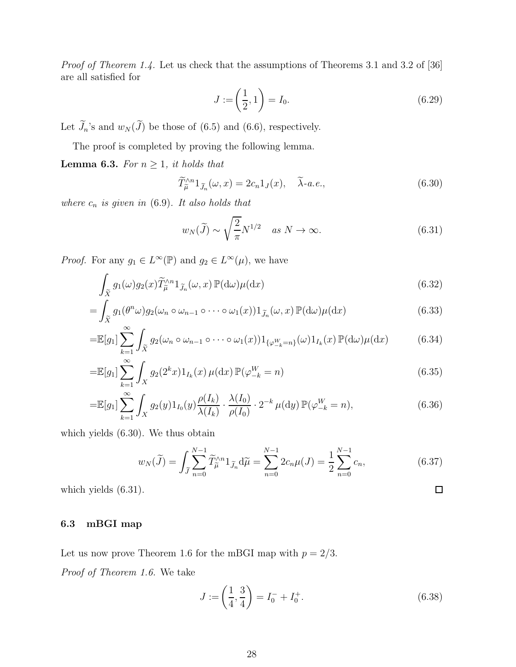Proof of Theorem 1.4. Let us check that the assumptions of Theorems 3.1 and 3.2 of [36] are all satisfied for

$$
J := \left(\frac{1}{2}, 1\right) = I_0. \tag{6.29}
$$

Let  $\widetilde{J}_n$ 's and  $w_N(\widetilde{J})$  be those of (6.5) and (6.6), respectively.

The proof is completed by proving the following lemma.

**Lemma 6.3.** For  $n \geq 1$ , it holds that

$$
\widetilde{T}_{\widetilde{\mu}}^{\wedge n}1_{\widetilde{J}_n}(\omega, x) = 2c_n 1_J(x), \quad \widetilde{\lambda} \text{-} a.e., \tag{6.30}
$$

where  $c_n$  is given in (6.9). It also holds that

$$
w_N(\widetilde{J}) \sim \sqrt{\frac{2}{\pi}} N^{1/2} \quad \text{as } N \to \infty. \tag{6.31}
$$

*Proof.* For any  $g_1 \in L^{\infty}(\mathbb{P})$  and  $g_2 \in L^{\infty}(\mu)$ , we have

$$
\int_{\widetilde{X}} g_1(\omega) g_2(x) \widetilde{T}_{\widetilde{\mu}}^{\wedge n} 1_{\widetilde{J}_n}(\omega, x) \mathbb{P}(\mathrm{d}\omega) \mu(\mathrm{d}x) \tag{6.32}
$$

$$
= \int_{\tilde{X}} g_1(\theta^n \omega) g_2(\omega_n \circ \omega_{n-1} \circ \cdots \circ \omega_1(x)) 1_{\tilde{J}_n}(\omega, x) \mathbb{P}(\mathrm{d}\omega) \mu(\mathrm{d}x) \tag{6.33}
$$

$$
=\mathbb{E}[g_1] \sum_{k=1}^{\infty} \int_{\tilde{X}} g_2(\omega_n \circ \omega_{n-1} \circ \cdots \circ \omega_1(x)) 1_{\{\varphi_{-k}^W = n\}}(\omega) 1_{I_k}(x) \mathbb{P}(\mathrm{d}\omega) \mu(\mathrm{d}x) \tag{6.34}
$$

$$
= \mathbb{E}[g_1] \sum_{k=1}^{\infty} \int_X g_2(2^k x) 1_{I_k}(x) \,\mu(\mathrm{d}x) \,\mathbb{P}(\varphi_{-k}^W = n) \tag{6.35}
$$

$$
= \mathbb{E}[g_1] \sum_{k=1}^{\infty} \int_X g_2(y) 1_{I_0}(y) \frac{\rho(I_k)}{\lambda(I_k)} \cdot \frac{\lambda(I_0)}{\rho(I_0)} \cdot 2^{-k} \mu(\mathrm{d}y) \, \mathbb{P}(\varphi_{-k}^W = n), \tag{6.36}
$$

which yields (6.30). We thus obtain

$$
w_N(\tilde{J}) = \int_{\tilde{J}} \sum_{n=0}^{N-1} \tilde{T}_{\tilde{\mu}}^{\wedge n} 1_{\tilde{J}_n} d\tilde{\mu} = \sum_{n=0}^{N-1} 2c_n \mu(J) = \frac{1}{2} \sum_{n=0}^{N-1} c_n,
$$
\n(6.37)

which yields (6.31).

### 6.3 mBGI map

Let us now prove Theorem 1.6 for the mBGI map with  $p = 2/3$ .

Proof of Theorem 1.6. We take

$$
J := \left(\frac{1}{4}, \frac{3}{4}\right) = I_0^- + I_0^+.
$$
\n(6.38)

 $\Box$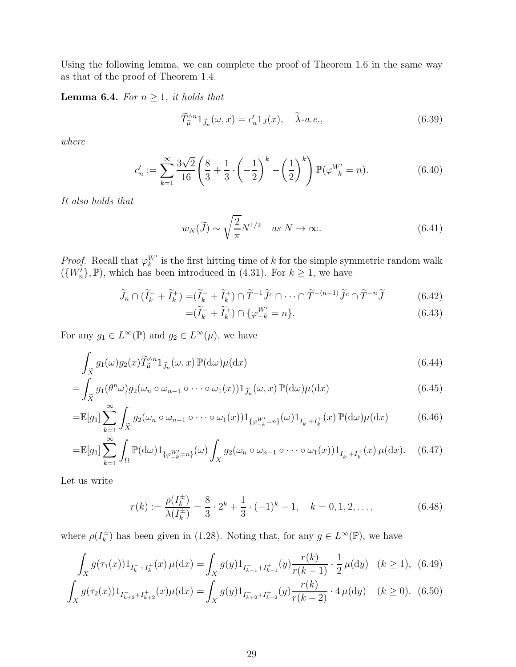Using the following lemma, we can complete the proof of Theorem 1.6 in the same way as that of the proof of Theorem 1.4.

**Lemma 6.4.** For  $n \geq 1$ , it holds that

$$
\widetilde{T}_{\widetilde{\mu}}^{\wedge n}1_{\widetilde{J}_n}(\omega, x) = c'_n 1_J(x), \quad \widetilde{\lambda} \text{-} a.e., \tag{6.39}
$$

where

$$
c'_n := \sum_{k=1}^{\infty} \frac{3\sqrt{2}}{16} \left( \frac{8}{3} + \frac{1}{3} \cdot \left( -\frac{1}{2} \right)^k - \left( \frac{1}{2} \right)^k \right) \mathbb{P}(\varphi_{-k}^{W'} = n). \tag{6.40}
$$

It also holds that

$$
w_N(\widetilde{J}) \sim \sqrt{\frac{2}{\pi}} N^{1/2} \quad \text{as } N \to \infty. \tag{6.41}
$$

*Proof.* Recall that  $\varphi_k^{W'}$  is the first hitting time of k for the simple symmetric random walk  $({W}'_n)$ ,  $\mathbb{P}$ ), which has been introduced in (4.31). For  $k \geq 1$ , we have

$$
\widetilde{J}_n \cap (\widetilde{I}_k^- + \widetilde{I}_k^+) = (\widetilde{I}_k^- + \widetilde{I}_k^+) \cap \widetilde{T}^{-1} \widetilde{J}^c \cap \cdots \cap \widetilde{T}^{-(n-1)} \widetilde{J}^c \cap \widetilde{T}^{-n} \widetilde{J} \tag{6.42}
$$

$$
= (\tilde{I}_k^- + \tilde{I}_k^+) \cap \{ \varphi_{-k}^{W'} = n \}.
$$
\n(6.43)

For any  $g_1 \in L^{\infty}(\mathbb{P})$  and  $g_2 \in L^{\infty}(\mu)$ , we have

$$
\int_{\tilde{X}} g_1(\omega) g_2(x) \tilde{T}_{\tilde{\mu}}^{\wedge n} 1_{\tilde{J}_n}(\omega, x) \mathbb{P}(\mathrm{d}\omega) \mu(\mathrm{d}x) \tag{6.44}
$$

$$
= \int_{\tilde{X}} g_1(\theta^n \omega) g_2(\omega_n \circ \omega_{n-1} \circ \cdots \circ \omega_1(x)) 1_{\tilde{J}_n}(\omega, x) \mathbb{P}(\mathrm{d}\omega) \mu(\mathrm{d}x) \tag{6.45}
$$

$$
=\mathbb{E}[g_1] \sum_{k=1}^{\infty} \int_{\tilde{X}} g_2(\omega_n \circ \omega_{n-1} \circ \cdots \circ \omega_1(x)) 1_{\{\varphi_{-k}^{W'}=n\}}(\omega) 1_{I_k^-+I_k^+}(x) \mathbb{P}(\mathrm{d}\omega) \mu(\mathrm{d}x) \tag{6.46}
$$

$$
=\mathbb{E}[g_1] \sum_{k=1}^{\infty} \int_{\Omega} \mathbb{P}(\mathrm{d}\omega) 1_{\{\varphi_{-k}^{W'}=n\}}(\omega) \int_{X} g_2(\omega_n \circ \omega_{n-1} \circ \cdots \circ \omega_1(x)) 1_{I_k^-+I_k^+}(x) \,\mu(\mathrm{d}x). \tag{6.47}
$$

Let us write

$$
r(k) := \frac{\rho(I_k^{\pm})}{\lambda(I_k^{\pm})} = \frac{8}{3} \cdot 2^k + \frac{1}{3} \cdot (-1)^k - 1, \quad k = 0, 1, 2, \dots,
$$
 (6.48)

where  $\rho(I_k^{\pm})$  $_k^{\pm}$ ) has been given in (1.28). Noting that, for any  $g \in L^{\infty}(\mathbb{P})$ , we have

$$
\int_X g(\tau_1(x)) 1_{I_k^- + I_k^+}(x) \,\mu(\mathrm{d}x) = \int_X g(y) 1_{I_{k-1}^- + I_{k-1}^+}(y) \frac{r(k)}{r(k-1)} \cdot \frac{1}{2} \,\mu(\mathrm{d}y) \quad (k \ge 1), \tag{6.49}
$$
\n
$$
\int_X g(\tau_2(x)) 1_{I_{k+2}^- + I_{k+2}^+}(x) \mu(\mathrm{d}x) = \int_X g(y) 1_{I_{k+2}^- + I_{k+2}^+}(y) \frac{r(k)}{r(k+2)} \cdot 4 \,\mu(\mathrm{d}y) \quad (k \ge 0). \tag{6.50}
$$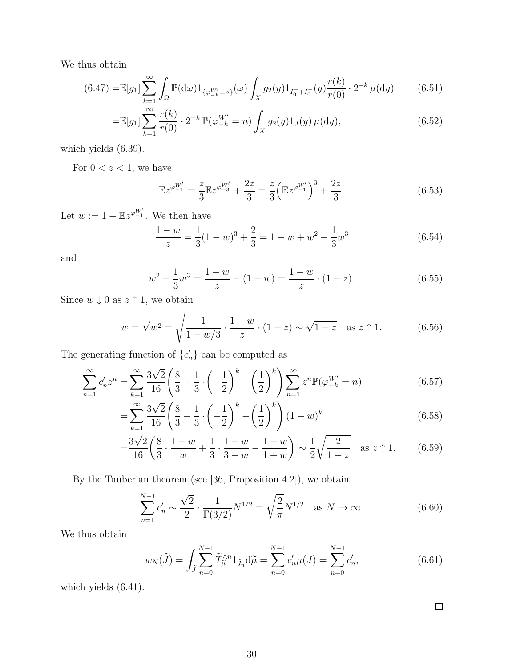We thus obtain

$$
(6.47) = \mathbb{E}[g_1] \sum_{k=1}^{\infty} \int_{\Omega} \mathbb{P}(\mathrm{d}\omega) 1_{\{\varphi_{-k}^{W'} = n\}}(\omega) \int_{X} g_2(y) 1_{I_0^- + I_0^+}(y) \frac{r(k)}{r(0)} \cdot 2^{-k} \mu(\mathrm{d}y) \tag{6.51}
$$

$$
= \mathbb{E}[g_1] \sum_{k=1}^{\infty} \frac{r(k)}{r(0)} \cdot 2^{-k} \mathbb{P}(\varphi_{-k}^{W'} = n) \int_X g_2(y) 1_J(y) \,\mu(\mathrm{d}y),\tag{6.52}
$$

which yields (6.39).

For  $0 < z < 1$  , we have

$$
\mathbb{E}z^{\varphi_{-1}^{W'}} = \frac{z}{3}\mathbb{E}z^{\varphi_{-3}^{W'}} + \frac{2z}{3} = \frac{z}{3}\left(\mathbb{E}z^{\varphi_{-1}^{W'}}\right)^3 + \frac{2z}{3}.
$$
 (6.53)

Let  $w := 1 - \mathbb{E}z^{\varphi_{-1}^{W'}}$ . We then have

$$
\frac{1-w}{z} = \frac{1}{3}(1-w)^3 + \frac{2}{3} = 1 - w + w^2 - \frac{1}{3}w^3
$$
 (6.54)

and

$$
w^{2} - \frac{1}{3}w^{3} = \frac{1-w}{z} - (1-w) = \frac{1-w}{z} \cdot (1-z).
$$
 (6.55)

Since  $w\downarrow 0$  as  $z\uparrow 1,$  we obtain

$$
w = \sqrt{w^2} = \sqrt{\frac{1}{1 - w/3} \cdot \frac{1 - w}{z} \cdot (1 - z)} \sim \sqrt{1 - z} \quad \text{as } z \uparrow 1.
$$
 (6.56)

The generating function of  $\{c'_n\}$  can be computed as

$$
\sum_{n=1}^{\infty} c'_n z^n = \sum_{k=1}^{\infty} \frac{3\sqrt{2}}{16} \left( \frac{8}{3} + \frac{1}{3} \cdot \left( -\frac{1}{2} \right)^k - \left( \frac{1}{2} \right)^k \right) \sum_{n=1}^{\infty} z^n \mathbb{P}(\varphi_{-k}^{W'} = n)
$$
(6.57)

$$
= \sum_{k=1}^{\infty} \frac{3\sqrt{2}}{16} \left( \frac{8}{3} + \frac{1}{3} \cdot \left( -\frac{1}{2} \right)^k - \left( \frac{1}{2} \right)^k \right) (1 - w)^k \tag{6.58}
$$

$$
= \frac{3\sqrt{2}}{16} \left( \frac{8}{3} \cdot \frac{1-w}{w} + \frac{1}{3} \cdot \frac{1-w}{3-w} - \frac{1-w}{1+w} \right) \sim \frac{1}{2} \sqrt{\frac{2}{1-z}} \quad \text{as } z \uparrow 1. \tag{6.59}
$$

By the Tauberian theorem (see [36, Proposition 4.2]), we obtain

$$
\sum_{n=1}^{N-1} c'_n \sim \frac{\sqrt{2}}{2} \cdot \frac{1}{\Gamma(3/2)} N^{1/2} = \sqrt{\frac{2}{\pi}} N^{1/2} \quad \text{as } N \to \infty.
$$
 (6.60)

We thus obtain

$$
w_N(\tilde{J}) = \int_{\tilde{J}} \sum_{n=0}^{N-1} \tilde{T}_{\tilde{\mu}}^{\wedge n} 1_{\tilde{J}_n} d\tilde{\mu} = \sum_{n=0}^{N-1} c'_n \mu(J) = \sum_{n=0}^{N-1} c'_n,
$$
\n(6.61)

which yields (6.41).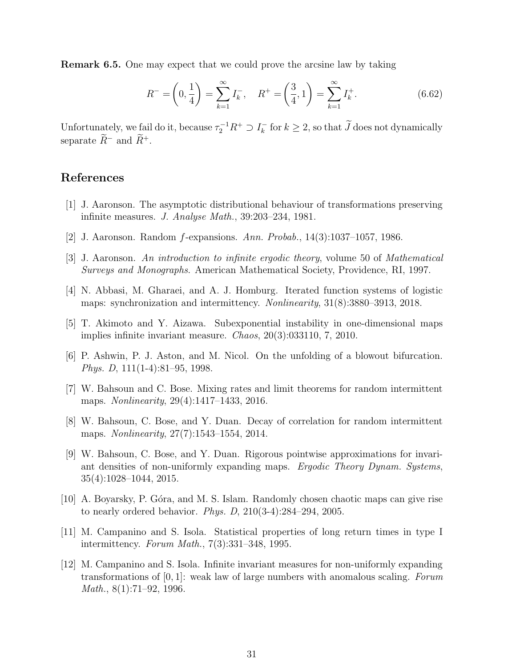Remark 6.5. One may expect that we could prove the arcsine law by taking

$$
R^{-} = \left(0, \frac{1}{4}\right) = \sum_{k=1}^{\infty} I_k^{-}, \quad R^{+} = \left(\frac{3}{4}, 1\right) = \sum_{k=1}^{\infty} I_k^{+}.
$$
 (6.62)

Unfortunately, we fail do it, because  $\tau_2^{-1}R^+ \supset I_k^ \overline{k}_{k}$  for  $k \geq 2$ , so that J does not dynamically separate  $\widetilde{R}^-$  and  $\widetilde{R}^+$ .

## References

- [1] J. Aaronson. The asymptotic distributional behaviour of transformations preserving infinite measures. J. Analyse Math., 39:203–234, 1981.
- [2] J. Aaronson. Random f-expansions. Ann. Probab., 14(3):1037–1057, 1986.
- [3] J. Aaronson. An introduction to infinite ergodic theory, volume 50 of Mathematical Surveys and Monographs. American Mathematical Society, Providence, RI, 1997.
- [4] N. Abbasi, M. Gharaei, and A. J. Homburg. Iterated function systems of logistic maps: synchronization and intermittency. Nonlinearity, 31(8):3880–3913, 2018.
- [5] T. Akimoto and Y. Aizawa. Subexponential instability in one-dimensional maps implies infinite invariant measure. Chaos, 20(3):033110, 7, 2010.
- [6] P. Ashwin, P. J. Aston, and M. Nicol. On the unfolding of a blowout bifurcation. Phys. D, 111(1-4):81–95, 1998.
- [7] W. Bahsoun and C. Bose. Mixing rates and limit theorems for random intermittent maps. *Nonlinearity*, 29(4):1417–1433, 2016.
- [8] W. Bahsoun, C. Bose, and Y. Duan. Decay of correlation for random intermittent maps. *Nonlinearity*, 27(7):1543–1554, 2014.
- [9] W. Bahsoun, C. Bose, and Y. Duan. Rigorous pointwise approximations for invariant densities of non-uniformly expanding maps. Ergodic Theory Dynam. Systems, 35(4):1028–1044, 2015.
- [10] A. Boyarsky, P. Góra, and M. S. Islam. Randomly chosen chaotic maps can give rise to nearly ordered behavior. *Phys. D*,  $210(3-4):284-294, 2005$ .
- [11] M. Campanino and S. Isola. Statistical properties of long return times in type I intermittency. Forum Math., 7(3):331–348, 1995.
- [12] M. Campanino and S. Isola. Infinite invariant measures for non-uniformly expanding transformations of  $[0, 1]$ : weak law of large numbers with anomalous scaling. Forum *Math.*,  $8(1):71-92, 1996$ .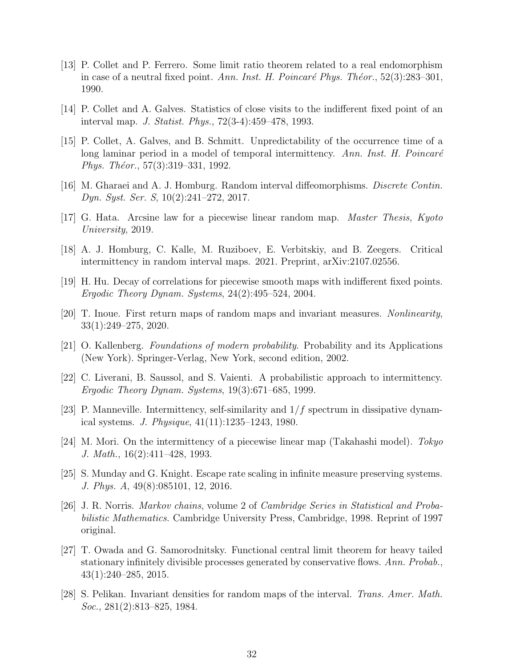- [13] P. Collet and P. Ferrero. Some limit ratio theorem related to a real endomorphism in case of a neutral fixed point. Ann. Inst. H. Poincaré Phys. Théor.,  $52(3):283-301$ , 1990.
- [14] P. Collet and A. Galves. Statistics of close visits to the indifferent fixed point of an interval map. J. Statist. Phys., 72(3-4):459–478, 1993.
- [15] P. Collet, A. Galves, and B. Schmitt. Unpredictability of the occurrence time of a long laminar period in a model of temporal intermittency. Ann. Inst. H. Poincaré Phys. Théor.,  $57(3):319-331$ , 1992.
- [16] M. Gharaei and A. J. Homburg. Random interval diffeomorphisms. Discrete Contin. Dyn. Syst. Ser. S, 10(2):241–272, 2017.
- [17] G. Hata. Arcsine law for a piecewise linear random map. Master Thesis, Kyoto University, 2019.
- [18] A. J. Homburg, C. Kalle, M. Ruziboev, E. Verbitskiy, and B. Zeegers. Critical intermittency in random interval maps. 2021. Preprint, arXiv:2107.02556.
- [19] H. Hu. Decay of correlations for piecewise smooth maps with indifferent fixed points. Ergodic Theory Dynam. Systems, 24(2):495–524, 2004.
- [20] T. Inoue. First return maps of random maps and invariant measures. Nonlinearity, 33(1):249–275, 2020.
- [21] O. Kallenberg. Foundations of modern probability. Probability and its Applications (New York). Springer-Verlag, New York, second edition, 2002.
- [22] C. Liverani, B. Saussol, and S. Vaienti. A probabilistic approach to intermittency. Ergodic Theory Dynam. Systems, 19(3):671–685, 1999.
- [23] P. Manneville. Intermittency, self-similarity and  $1/f$  spectrum in dissipative dynamical systems. *J. Physique*,  $41(11):1235-1243$ , 1980.
- [24] M. Mori. On the intermittency of a piecewise linear map (Takahashi model). Tokyo J. Math., 16(2):411–428, 1993.
- [25] S. Munday and G. Knight. Escape rate scaling in infinite measure preserving systems. J. Phys. A, 49(8):085101, 12, 2016.
- [26] J. R. Norris. Markov chains, volume 2 of Cambridge Series in Statistical and Probabilistic Mathematics. Cambridge University Press, Cambridge, 1998. Reprint of 1997 original.
- [27] T. Owada and G. Samorodnitsky. Functional central limit theorem for heavy tailed stationary infinitely divisible processes generated by conservative flows. Ann. Probab., 43(1):240–285, 2015.
- [28] S. Pelikan. Invariant densities for random maps of the interval. Trans. Amer. Math. Soc., 281(2):813–825, 1984.